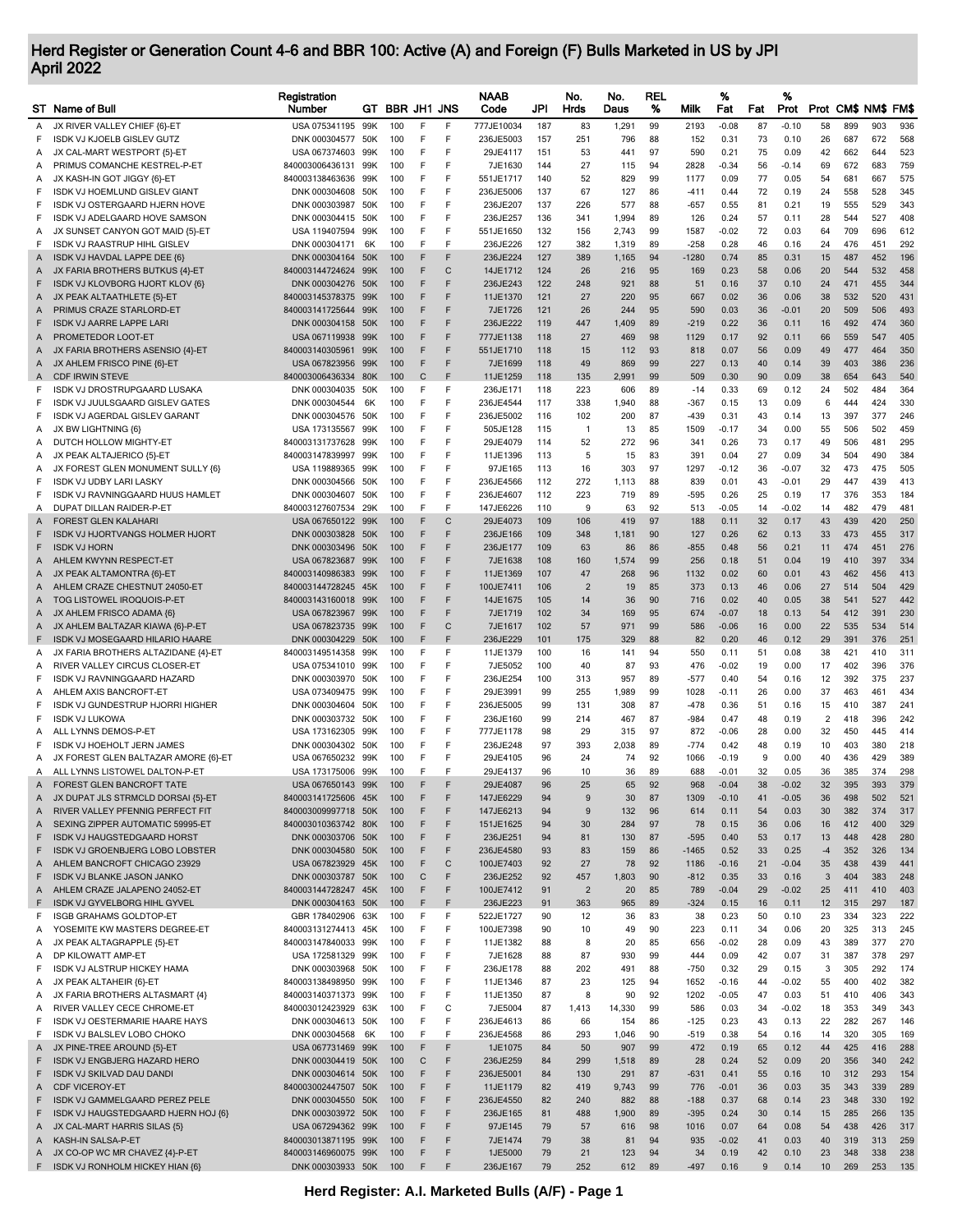## Herd Register or Generation Count 4-6 and BBR 100: Active (A) and Foreign (F) Bulls Marketed in US by JPI April 2022

|        | ST Name of Bull                                                      | Registration<br>Number                   |            | GT BBR JH1 JNS |        |        | <b>NAAB</b><br>Code    | JPI        | No.<br>Hrds    | No.<br>Daus  | <b>REL</b><br>% | Milk         | %<br>Fat        | Fat         | %<br>Prot     |                      |            | Prot CM\$ NM\$ FM\$ |            |
|--------|----------------------------------------------------------------------|------------------------------------------|------------|----------------|--------|--------|------------------------|------------|----------------|--------------|-----------------|--------------|-----------------|-------------|---------------|----------------------|------------|---------------------|------------|
| Α      | JX RIVER VALLEY CHIEF {6}-ET                                         | USA 075341195                            | 99K        | 100            | F      | F      | 777JE10034             | 187        | 83             | 1,291        | 99              | 2193         | $-0.08$         | 87          | $-0.10$       | 58                   | 899        | 903                 | 936        |
| F      | <b>ISDK VJ KJOELB GISLEV GUTZ</b>                                    | DNK 000304577 50K                        |            | 100            | F      | F      | 236JE5003              | 157        | 251            | 796          | 88              | 152          | 0.31            | 73          | 0.10          | 26                   | 687        | 672                 | 568        |
| Α      | JX CAL-MART WESTPORT {5}-ET                                          | USA 067374603                            | 99K        | 100            | F<br>F | F<br>F | 29JE4117<br>7JE1630    | 151        | 53             | 441          | 97              | 590          | 0.21<br>$-0.34$ | 75          | 0.09          | 42<br>69             | 662<br>672 | 644<br>683          | 523<br>759 |
| Α<br>Α | PRIMUS COMANCHE KESTREL-P-ET<br>JX KASH-IN GOT JIGGY {6}-ET          | 840003006436131<br>840003138463636       | 99K<br>99K | 100<br>100     | F      | F      | 551JE1717              | 144<br>140 | 27<br>52       | 115<br>829   | 94<br>99        | 2828<br>1177 | 0.09            | 56<br>77    | -0.14<br>0.05 | 54                   | 681        | 667                 | 575        |
| F      | <b>ISDK VJ HOEMLUND GISLEV GIANT</b>                                 | DNK 000304608                            | 50K        | 100            | F      | F      | 236JE5006              | 137        | 67             | 127          | 86              | -411         | 0.44            | 72          | 0.19          | 24                   | 558        | 528                 | 345        |
| F      | ISDK VJ OSTERGAARD HJERN HOVE                                        | DNK 000303987                            | 50K        | 100            | F      | F      | 236JE207               | 137        | 226            | 577          | 88              | -657         | 0.55            | 81          | 0.21          | 19                   | 555        | 529                 | 343        |
| F      | ISDK VJ ADELGAARD HOVE SAMSON                                        | DNK 000304415                            | 50K        | 100            | F      | F      | 236JE257               | 136        | 341            | 1,994        | 89              | 126          | 0.24            | 57          | 0.11          | 28                   | 544        | 527                 | 408        |
| Α      | JX SUNSET CANYON GOT MAID {5}-ET                                     | USA 119407594                            | 99K        | 100            | F      | F      | 551JE1650              | 132        | 156            | 2,743        | 99              | 1587         | $-0.02$         | 72          | 0.03          | 64                   | 709        | 696                 | 612        |
| F      | ISDK VJ RAASTRUP HIHL GISLEV                                         | DNK 000304171                            | 6K         | 100            | E      | E      | 236JE226               | 127        | 382            | 1,319        | 89              | $-258$       | 0.28            | 46          | 0.16          | 24                   | 476        | 451                 | 292        |
| Α      | ISDK VJ HAVDAL LAPPE DEE {6}                                         | DNK 000304164 50K                        |            | 100            | F<br>F | F      | 236JE224               | 127        | 389            | 1,165        | 94              | $-1280$      | 0.74            | 85          | 0.31          | 15                   | 487        | 452                 | 196        |
| Α<br>F | JX FARIA BROTHERS BUTKUS {4}-ET<br>ISDK VJ KLOVBORG HJORT KLOV {6}   | 840003144724624<br>DNK 000304276         | 99K<br>50K | 100<br>100     | F      | С<br>F | 14JE1712<br>236JE243   | 124<br>122 | 26<br>248      | 216<br>921   | 95<br>88        | 169<br>51    | 0.23<br>0.16    | 58<br>37    | 0.06<br>0.10  | 20<br>24             | 544<br>471 | 532<br>455          | 458<br>344 |
| Α      | JX PEAK ALTAATHLETE {5}-ET                                           | 840003145378375                          | 99K        | 100            | F      | F      | 11JE1370               | 121        | 27             | 220          | 95              | 667          | 0.02            | 36          | 0.06          | 38                   | 532        | 520                 | 431        |
| A      | PRIMUS CRAZE STARLORD-ET                                             | 840003141725644                          | 99K        | 100            | F      | F      | 7JE1726                | 121        | 26             | 244          | 95              | 590          | 0.03            | 36          | $-0.01$       | 20                   | 509        | 506                 | 493        |
| F      | <b>ISDK VJ AARRE LAPPE LARI</b>                                      | DNK 000304158 50K                        |            | 100            | F      | F      | 236JE222               | 119        | 447            | 1,409        | 89              | $-219$       | 0.22            | 36          | 0.11          | 16                   | 492        | 474                 | 360        |
| Α      | PROMETEDOR LOOT-ET                                                   | USA 067119938                            | 99K        | 100            | F      | F      | 777JE1138              | 118        | 27             | 469          | 98              | 1129         | 0.17            | 92          | 0.11          | 66                   | 559        | 547                 | 405        |
| Α      | JX FARIA BROTHERS ASENSIO {4}-ET                                     | 840003140305961                          | 99K        | 100            | F      | F      | 551JE1710              | 118        | 15             | 112          | 93              | 818          | 0.07            | 56          | 0.09          | 49                   | 477        | 464                 | 350        |
| A      | JX AHLEM FRISCO PINE {6}-ET                                          | USA 067823956                            | 99K        | 100            | F      | F      | 7JE1699                | 118        | 49             | 869          | 99              | 227          | 0.13            | 40          | 0.14          | 39                   | 403        | 386                 | 236        |
| A<br>F | <b>CDF IRWIN STEVE</b><br>ISDK VJ DROSTRUPGAARD LUSAKA               | 840003006436334 80K<br>DNK 000304035     |            | 100<br>100     | С<br>F | F<br>F | 11JE1259<br>236JE171   | 118<br>118 | 135<br>223     | 2,991<br>606 | 99<br>89        | 509<br>$-14$ | 0.30<br>0.33    | 90<br>69    | 0.09<br>0.12  | 38<br>24             | 654<br>502 | 643<br>484          | 540<br>364 |
| F      | ISDK VJ JUULSGAARD GISLEV GATES                                      | DNK 000304544                            | 50K<br>6K  | 100            | F      | F      | 236JE4544              | 117        | 338            | 1,940        | 88              | $-367$       | 0.15            | 13          | 0.09          | 6                    | 444        | 424                 | 330        |
| F      | ISDK VJ AGERDAL GISLEV GARANT                                        | DNK 000304576                            | 50K        | 100            | F      | F      | 236JE5002              | 116        | 102            | 200          | 87              | $-439$       | 0.31            | 43          | 0.14          | 13                   | 397        | 377                 | 246        |
| Α      | JX BW LIGHTNING {6}                                                  | USA 173135567                            | 99K        | 100            | F      | F      | 505JE128               | 115        | $\mathbf{1}$   | 13           | 85              | 1509         | $-0.17$         | 34          | 0.00          | 55                   | 506        | 502                 | 459        |
| Α      | DUTCH HOLLOW MIGHTY-ET                                               | 840003131737628                          | 99K        | 100            | F      | F      | 29JE4079               | 114        | 52             | 272          | 96              | 341          | 0.26            | 73          | 0.17          | 49                   | 506        | 481                 | 295        |
| Α      | JX PEAK ALTAJERICO {5}-ET                                            | 840003147839997                          | 99K        | 100            | F      | F      | 11JE1396               | 113        | 5              | 15           | 83              | 391          | 0.04            | 27          | 0.09          | 34                   | 504        | 490                 | 384        |
| Α      | JX FOREST GLEN MONUMENT SULLY {6}                                    | USA 119889365                            | 99K        | 100            | F      | F      | 97JE165                | 113        | 16             | 303          | 97              | 1297         | $-0.12$         | 36          | $-0.07$       | 32                   | 473        | 475                 | 505        |
| F      | <b>ISDK VJ UDBY LARI LASKY</b>                                       | DNK 000304566                            | 50K        | 100            | F      | F      | 236JE4566              | 112        | 272            | 1,113        | 88              | 839          | 0.01            | 43          | $-0.01$       | 29                   | 447        | 439                 | 413        |
| F<br>Α | ISDK VJ RAVNINGGAARD HUUS HAMLET<br>DUPAT DILLAN RAIDER-P-ET         | DNK 000304607<br>840003127607534         | 50K<br>29K | 100<br>100     | F<br>F | F<br>F | 236JE4607<br>147JE6226 | 112<br>110 | 223<br>9       | 719<br>63    | 89<br>92        | -595<br>513  | 0.26<br>$-0.05$ | 25<br>14    | 0.19<br>-0.02 | 17<br>14             | 376<br>482 | 353<br>479          | 184<br>481 |
| Α      | <b>FOREST GLEN KALAHARI</b>                                          | USA 067650122                            | 99K        | 100            | F      | С      | 29JE4073               | 109        | 106            | 419          | 97              | 188          | 0.11            | 32          | 0.17          | 43                   | 439        | 420                 | 250        |
| F      | <b>ISDK VJ HJORTVANGS HOLMER HJORT</b>                               | DNK 000303828                            | 50K        | 100            | F      | F      | 236JE166               | 109        | 348            | 1,181        | 90              | 127          | 0.26            | 62          | 0.13          | 33                   | 473        | 455                 | 317        |
| F      | <b>ISDK VJ HORN</b>                                                  | DNK 000303496 50K                        |            | 100            | F      | F      | 236JE177               | 109        | 63             | 86           | 86              | $-855$       | 0.48            | 56          | 0.21          | 11                   | 474        | 451                 | 276        |
| Α      | AHLEM KWYNN RESPECT-ET                                               | USA 067823687                            | 99K        | 100            | F      | F      | 7JE1638                | 108        | 160            | 1,574        | 99              | 256          | 0.18            | 51          | 0.04          | 19                   | 410        | 397                 | 334        |
| A      | JX PEAK ALTAMONTRA {6}-ET                                            | 840003140986383                          | 99K        | 100            | F      | F      | 11JE1369               | 107        | 47             | 268          | 96              | 1132         | 0.02            | 60          | 0.01          | 43                   | 462        | 456                 | 413        |
| Α      | AHLEM CRAZE CHESTNUT 24050-ET                                        | 840003144728245                          | 45K        | 100            | F      | F      | 100JE7411              | 106        | $\overline{2}$ | 19           | 85              | 373          | 0.13            | 46          | 0.06          | 27                   | 514        | 504                 | 429        |
| A      | TOG LISTOWEL IROQUOIS-P-ET                                           | 840003143160018                          | 99K        | 100<br>100     | F<br>F | F<br>F | 14JE1675<br>7JE1719    | 105<br>102 | 14             | 36           | 90<br>95        | 716          | 0.02<br>$-0.07$ | 40          | 0.05<br>0.13  | 38                   | 541<br>412 | 527<br>391          | 442<br>230 |
| A<br>Α | JX AHLEM FRISCO ADAMA {6}<br>JX AHLEM BALTAZAR KIAWA {6}-P-ET        | USA 067823967 99K<br>USA 067823735       | 99K        | 100            | F      | С      | 7JE1617                | 102        | 34<br>57       | 169<br>971   | 99              | 674<br>586   | $-0.06$         | 18<br>16    | 0.00          | 54<br>22             | 535        | 534                 | 514        |
| F      | ISDK VJ MOSEGAARD HILARIO HAARE                                      | DNK 000304229                            | 50K        | 100            | F      | F      | 236JE229               | 101        | 175            | 329          | 88              | 82           | 0.20            | 46          | 0.12          | 29                   | 391        | 376                 | 251        |
| Α      | JX FARIA BROTHERS ALTAZIDANE {4}-ET                                  | 840003149514358                          | 99K        | 100            | F      | F      | 11JE1379               | 100        | 16             | 141          | 94              | 550          | 0.11            | 51          | 0.08          | 38                   | 421        | 410                 | 311        |
| Α      | RIVER VALLEY CIRCUS CLOSER-ET                                        | USA 075341010                            | 99K        | 100            | F      | F      | 7JE5052                | 100        | 40             | 87           | 93              | 476          | $-0.02$         | 19          | 0.00          | 17                   | 402        | 396                 | 376        |
| F      | ISDK VJ RAVNINGGAARD HAZARD                                          | DNK 000303970 50K                        |            | 100            | F      | F      | 236JE254               | 100        | 313            | 957          | 89              | $-577$       | 0.40            | 54          | 0.16          | 12                   | 392        | 375                 | 237        |
| Α      | AHLEM AXIS BANCROFT-ET                                               | USA 073409475                            | 99K        | 100            | F      | F      | 29JE3991               | 99         | 255            | 1,989        | 99              | 1028         | $-0.11$         | 26          | 0.00          | 37                   | 463        | 461                 | 434        |
| F      | ISDK VJ GUNDESTRUP HJORRI HIGHER                                     | DNK 000304604                            | 50K        | 100            | F<br>F | F      | 236JE5005              | 99         | 131            | 308          | 87              | -478         | 0.36            | 51          | 0.16          | 15<br>$\overline{2}$ | 410        | 387                 | 241        |
| F<br>Α | <b>ISDK VJ LUKOWA</b><br>ALL LYNNS DEMOS-P-ET                        | DNK 000303732<br>USA 173162305           | 50K<br>99K | 100<br>100     | F      | F<br>F | 236JE160<br>777JE1178  | 99<br>98   | 214<br>29      | 467<br>315   | 87<br>97        | -984<br>872  | 0.47<br>$-0.06$ | 48<br>28    | 0.19<br>0.00  | 32                   | 418<br>450 | 396<br>445          | 242<br>414 |
| F      | <b>ISDK VJ HOEHOLT JERN JAMES</b>                                    | DNK 000304302                            | 50K        | 100            | F      | F      | 236JE248               | 97         | 393            | 2,038        | 89              | -774         | 0.42            | 48          | 0.19          | 10                   | 403        | 380                 | 218        |
| Α      | JX FOREST GLEN BALTAZAR AMORE {6}-ET                                 | USA 067650232 99K                        |            | 100            | E      | F      | 29JE4105               | 96         | 24             | 74           | 92              | 1066         | $-0.19$         | 9           | 0.00          | 40                   | 436        | 429                 | 389        |
|        | A ALL LYNNS LISTOWEL DALTON-P-ET                                     | USA 173175006 99K                        |            | 100            | F      | F      | 29JE4137               | 96         | 10             | 36           | 89              | 688          | $-0.01$         | 32          | 0.05          | 36                   | 385        | 374                 | 298        |
|        | A FOREST GLEN BANCROFT TATE                                          | USA 067650143 99K                        |            | 100            |        |        | 29JE4087               | 96         | 25             | 65           | 92              | 968          | $-0.04$         | 38          | $-0.02$       | 32                   | 395        | 393                 | 379        |
| A      | JX DUPAT JLS STRMCLD DORSAI {5}-ET                                   | 840003141725606 45K                      |            | 100            | F      | F      | 147JE6229              | 94         | 9              | 30           | 87              | 1309         | $-0.10$         | 41          | $-0.05$       | 36                   | 498        | 502                 | 521        |
| A      | RIVER VALLEY PFENNIG PERFECT FIT<br>SEXING ZIPPER AUTOMATIC 59995-ET | 840003009997718                          | 50K        | 100<br>100     | F<br>F | F<br>F | 147JE6213              | 94<br>94   | 9<br>30        | 132          | 96<br>97        | 614          | 0.11<br>0.15    | 54<br>36    | 0.03<br>0.06  | 30<br>16             | 382<br>412 | 374<br>400          | 317<br>329 |
| A<br>F | <b>ISDK VJ HAUGSTEDGAARD HORST</b>                                   | 840003010363742 80K<br>DNK 000303706 50K |            | 100            | F      | F      | 151JE1625<br>236JE251  | 94         | 81             | 284<br>130   | 87              | 78<br>$-595$ | 0.40            | 53          | 0.17          | 13                   | 448        | 428                 | 280        |
| F      | <b>ISDK VJ GROENBJERG LOBO LOBSTER</b>                               | DNK 000304580 50K                        |            | 100            | F      | F      | 236JE4580              | 93         | 83             | 159          | 86              | $-1465$      | 0.52            | 33          | 0.25          | $-4$                 | 352        | 326                 | 134        |
| Α      | AHLEM BANCROFT CHICAGO 23929                                         | USA 067823929 45K                        |            | 100            | F      | C      | 100JE7403              | 92         | 27             | 78           | 92              | 1186         | $-0.16$         | 21          | $-0.04$       | 35                   | 438        | 439                 | 441        |
| F      | ISDK VJ BLANKE JASON JANKO                                           | DNK 000303787 50K                        |            | 100            | C      | F      | 236JE252               | 92         | 457            | 1,803        | 90              | $-812$       | 0.35            | 33          | 0.16          | 3                    | 404        | 383                 | 248        |
| Α      | AHLEM CRAZE JALAPENO 24052-ET                                        | 840003144728247 45K                      |            | 100            | F      | F      | 100JE7412              | 91         | $\overline{2}$ | 20           | 85              | 789          | $-0.04$         | 29          | $-0.02$       | 25                   | 411        | 410                 | 403        |
| F      | ISDK VJ GYVELBORG HIHL GYVEL                                         | DNK 000304163 50K                        |            | 100            | F      | F      | 236JE223               | 91         | 363            | 965          | 89              | $-324$       | 0.15            | 16          | 0.11          | 12                   | 315        | 297                 | 187        |
| F      | <b>ISGB GRAHAMS GOLDTOP-ET</b>                                       | GBR 178402906 63K                        |            | 100            | F      | F<br>F | 522JE1727              | 90         | 12             | 36           | 83              | 38           | 0.23            | 50          | 0.10          | 23                   | 334        | 323                 | 222        |
| Α<br>Α | YOSEMITE KW MASTERS DEGREE-ET<br>JX PEAK ALTAGRAPPLE {5}-ET          | 840003131274413 45K<br>840003147840033   | 99K        | 100<br>100     | F<br>F | F      | 100JE7398<br>11JE1382  | 90<br>88   | 10<br>8        | 49<br>20     | 90<br>85        | 223<br>656   | 0.11<br>$-0.02$ | 34<br>28    | 0.06<br>0.09  | 20<br>43             | 325<br>389 | 313<br>377          | 245<br>270 |
| Α      | DP KILOWATT AMP-ET                                                   | USA 172581329 99K                        |            | 100            | F      | F      | 7JE1628                | 88         | 87             | 930          | 99              | 444          | 0.09            | 42          | 0.07          | 31                   | 387        | 378                 | 297        |
| F      | ISDK VJ ALSTRUP HICKEY HAMA                                          | DNK 000303968 50K                        |            | 100            | F      | F      | 236JE178               | 88         | 202            | 491          | 88              | $-750$       | 0.32            | 29          | 0.15          | 3                    | 305        | 292                 | 174        |
| Α      | JX PEAK ALTAHEIR {6}-ET                                              | 840003138498950 99K                      |            | 100            | F      | F      | 11JE1346               | 87         | 23             | 125          | 94              | 1652         | $-0.16$         | 44          | $-0.02$       | 55                   | 400        | 402                 | 382        |
| Α      | JX FARIA BROTHERS ALTASMART {4}                                      | 840003140371373 99K                      |            | 100            | F      | F      | 11JE1350               | 87         | 8              | 90           | 92              | 1202         | $-0.05$         | 47          | 0.03          | 51                   | 410        | 406                 | 343        |
| Α      | RIVER VALLEY CECE CHROME-ET                                          | 840003012423929                          | 63K        | 100            | F      | C      | 7JE5004                | 87         | 1,413          | 14,330       | 99              | 586          | 0.03            | 34          | $-0.02$       | 18                   | 353        | 349                 | 343        |
| F      | ISDK VJ OESTERMARIE HAARE HAYS                                       | DNK 000304613 50K                        |            | 100            | F      | F      | 236JE4613              | 86         | 66             | 154          | 86              | $-125$       | 0.23            | 43          | 0.13          | 22                   | 282        | 267                 | 146        |
| F      | ISDK VJ BALSLEV LOBO CHOKO                                           | DNK 000304568                            | 6K         | 100<br>100     | F<br>F | F<br>F | 236JE4568<br>1JE1075   | 86<br>84   | 293<br>50      | 1,046<br>907 | 90<br>99        | -519<br>472  | 0.38<br>0.19    | 54<br>65    | 0.16<br>0.12  | 14<br>44             | 320<br>425 | 305<br>416          | 169<br>288 |
| A<br>F | JX PINE-TREE AROUND {5}-ET<br><b>ISDK VJ ENGBJERG HAZARD HERO</b>    | USA 067731469 99K<br>DNK 000304419 50K   |            | 100            | C      | F      | 236JE259               | 84         | 299            | 1,518        | 89              | 28           | 0.24            | 52          | 0.09          | 20                   | 356        | 340                 | 242        |
| F      | <b>ISDK VJ SKILVAD DAU DANDI</b>                                     | DNK 000304614 50K                        |            | 100            | F      | F      | 236JE5001              | 84         | 130            | 291          | 87              | $-631$       | 0.41            | 55          | 0.16          | 10                   | 312        | 293                 | 154        |
| Α      | <b>CDF VICEROY-ET</b>                                                | 840003002447507 50K                      |            | 100            | F      | F      | 11JE1179               | 82         | 419            | 9,743        | 99              | 776          | $-0.01$         | 36          | 0.03          | 35                   | 343        | 339                 | 289        |
| F      | ISDK VJ GAMMELGAARD PEREZ PELE                                       | DNK 000304550 50K                        |            | 100            | F      | F      | 236JE4550              | 82         | 240            | 882          | 88              | $-188$       | 0.37            | 68          | 0.14          | 23                   | 348        | 330                 | 192        |
| F      | ISDK VJ HAUGSTEDGAARD HJERN HOJ {6}                                  | DNK 000303972 50K                        |            | 100            | F      | F      | 236JE165               | 81         | 488            | 1,900        | 89              | $-395$       | 0.24            | 30          | 0.14          | 15                   | 285        | 266                 | 135        |
| A      | JX CAL-MART HARRIS SILAS {5}                                         | USA 067294362 99K                        |            | 100            | F      | F      | 97JE145                | 79         | 57             | 616          | 98              | 1016         | 0.07            | 64          | 0.08          | 54                   | 438        | 426                 | 317        |
| A      | KASH-IN SALSA-P-ET                                                   | 840003013871195 99K                      |            | 100            | F<br>F | F<br>F | 7JE1474                | 79         | 38             | 81           | 94              | 935          | $-0.02$         | 41          | 0.03          | 40                   | 319        | 313                 | 259        |
| A      | JX CO-OP WC MR CHAVEZ {4}-P-ET<br>F ISDK VJ RONHOLM HICKEY HIAN {6}  | 840003146960075 99K<br>DNK 000303933 50K |            | 100<br>100     | F      | F      | 1JE5000<br>236JE167    | 79<br>79   | 21<br>252      | 123<br>612   | 94<br>89        | 34<br>$-497$ | 0.19<br>0.16    | 42<br>$9\,$ | 0.10<br>0.14  | 23<br>10             | 348<br>269 | 338<br>253          | 238<br>135 |
|        |                                                                      |                                          |            |                |        |        |                        |            |                |              |                 |              |                 |             |               |                      |            |                     |            |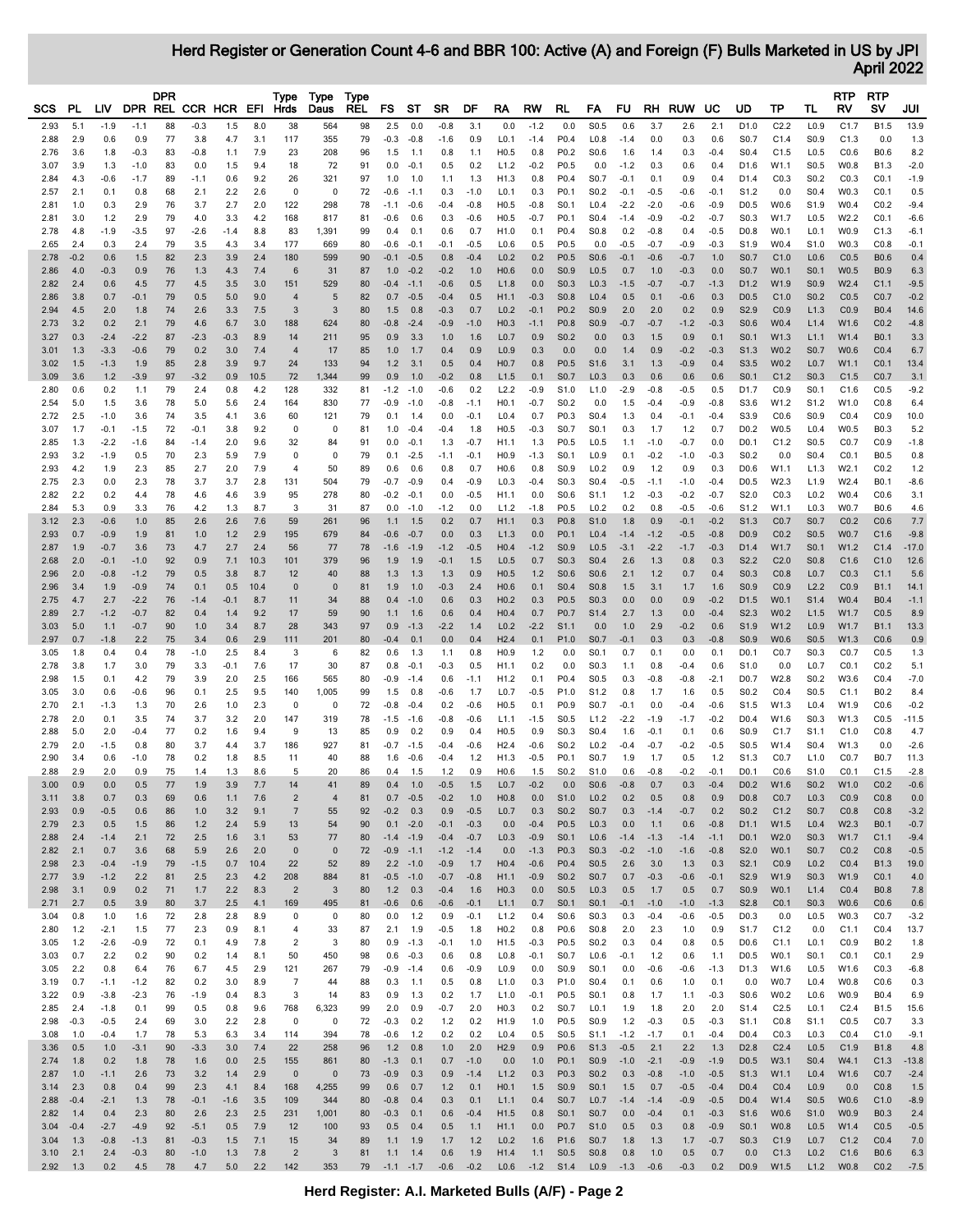Herd Register or Generation Count 4-6 and BBR 100: Active (A) and Foreign (F) Bulls Marketed in US by JPI April 2022

|              |                |                  |               | <b>DPR</b> |               |                          |            | Type                             | Type                 | Type     |                  |                            |                  |                  |                                      |                    |                                      |                                      |                  |                  |                  |                  |                                      |                   |                                      | RTP              | <b>RTP</b>       |               |
|--------------|----------------|------------------|---------------|------------|---------------|--------------------------|------------|----------------------------------|----------------------|----------|------------------|----------------------------|------------------|------------------|--------------------------------------|--------------------|--------------------------------------|--------------------------------------|------------------|------------------|------------------|------------------|--------------------------------------|-------------------|--------------------------------------|------------------|------------------|---------------|
| SCS          | PL             | LIV              |               |            |               | DPR REL CCR HCR EFI Hrds |            |                                  | Daus                 | REL      | FS               | ST                         | <b>SR</b>        | DF               | RA                                   | <b>RW</b>          | RL                                   | FA                                   | FU.              |                  | RH RUW UC        |                  | UD                                   | ТP                | TL                                   | RV               | s٧               | JUI           |
| 2.93         | 5.1            | $-1.9$           | $-1.1$        | 88         | $-0.3$        | 1.5                      | 8.0        | 38                               | 564                  | 98       | 2.5              | 0.0                        | $-0.8$           | 3.1              | 0.0                                  | $-1.2$             | 0.0                                  | S <sub>0.5</sub>                     | 0.6              | 3.7              | 2.6              | 2.1              | D1.0                                 | C2.2              | L <sub>0.9</sub>                     | C1.7             | B1.5             | 13.9          |
| 2.88         | 2.9            | 0.6              | 0.9           | 77         | 3.8           | 4.7                      | 3.1        | 117                              | 355                  | 79       |                  | $-0.3 -0.8$                | $-1.6$           | 0.9              | L <sub>0.1</sub>                     | $-1.4$             | P0.4                                 | L0.8                                 | $-1.4$           | 0.0              | 0.3              | 0.6              | S0.7                                 | C1.4              | S0.9                                 | C1.3             | 0.0              | 1.3           |
| 2.76         | 3.6            | 1.8              | $-0.3$        | 83         | $-0.8$        | 1.1                      | 7.9        | 23                               | 208                  | 96       | 1.5              | 1.1                        | 0.8              | 1.1              | H0.5                                 | 0.8                | P <sub>0.2</sub>                     | S0.6                                 | 1.6              | 1.4              | 0.3              | $-0.4$           | S0.4                                 | C1.5              | L <sub>0.5</sub>                     | CO.6             | B0.6             | 8.2           |
| 3.07         | 3.9            | 1.3              | $-1.0$        | 83         | 0.0           | 1.5                      | 9.4        | 18                               | 72                   | 91       | 0.0              | $-0.1$                     | 0.5              | 0.2              | L1.2                                 | $-0.2$             | P <sub>0.5</sub>                     | 0.0                                  | $-1.2$           | 0.3              | 0.6              | 0.4              | D1.6                                 | W1.1              | S <sub>0.5</sub>                     | W0.8             | B1.3             | $-2.0$        |
| 2.84         | 4.3            | $-0.6$           | $-1.7$        | 89         | $-1.1$        | 0.6                      | 9.2        | 26                               | 321                  | 97       | 1.0              | 1.0                        | 1.1              | 1.3              | H1.3                                 | 0.8                | P0.4                                 | S0.7                                 | $-0.1$           | 0.1              | 0.9              | 0.4              | D1.4                                 | CO.3              | S <sub>0.2</sub>                     | CO.3             | CO.1             | $-1.9$        |
| 2.57<br>2.81 | 2.1<br>1.0     | 0.1<br>0.3       | 0.8<br>2.9    | 68<br>76   | 2.1<br>3.7    | 2.2<br>2.7               | 2.6<br>2.0 | 0<br>122                         | 0<br>298             | 72<br>78 | $-0.6$           | $-1.1$<br>$-0.6$           | 0.3<br>$-0.4$    | $-1.0$<br>$-0.8$ | L <sub>0.1</sub><br>H0.5             | 0.3<br>$-0.8$      | P0.1<br>S0.1                         | S <sub>0.2</sub><br>L0.4             | $-0.1$<br>$-2.2$ | $-0.5$<br>$-2.0$ | $-0.6$<br>$-0.6$ | $-0.1$<br>$-0.9$ | S <sub>1.2</sub><br>D <sub>0.5</sub> | 0.0<br>W0.6       | S <sub>0.4</sub><br>S <sub>1.9</sub> | W0.3<br>W0.4     | CO.1<br>CO.2     | 0.5<br>$-9.4$ |
| 2.81         | 3.0            | 1.2              | 2.9           | 79         | 4.0           | 3.3                      | 4.2        | 168                              | 817                  | 81       | $-1.1$<br>$-0.6$ | 0.6                        | 0.3              | $-0.6$           | H0.5                                 | $-0.7$             | P0.1                                 | S <sub>0.4</sub>                     | $-1.4$           | $-0.9$           | $-0.2$           | $-0.7$           | S0.3                                 | W1.7              | L <sub>0.5</sub>                     | W2.2             | CO.1             | $-6.6$        |
| 2.78         | 4.8            | $-1.9$           | $-3.5$        | 97         | $-2.6$        | $-1.4$                   | 8.8        | 83                               | 1,391                | 99       | 0.4              | 0.1                        | 0.6              | 0.7              | H1.0                                 | 0.1                | P0.4                                 | S0.8                                 | 0.2              | $-0.8$           | 0.4              | $-0.5$           | D <sub>0.8</sub>                     | W0.1              | L <sub>0.1</sub>                     | W0.9             | C1.3             | $-6.1$        |
| 2.65         | 2.4            | 0.3              | 2.4           | 79         | 3.5           | 4.3                      | 3.4        | 177                              | 669                  | 80       | $-0.6$           | $-0.1$                     | $-0.1$           | $-0.5$           | L0.6                                 | 0.5                | P <sub>0.5</sub>                     | 0.0                                  | $-0.5$           | $-0.7$           | $-0.9$           | $-0.3$           | S1.9                                 | W0.4              | S1.0                                 | W0.3             | CO.8             | $-0.1$        |
| 2.78         | $-0.2$         | 0.6              | 1.5           | 82         | 2.3           | 3.9                      | 2.4        | 180                              | 599                  | 90       |                  | $-0.1 - 0.5$               | 0.8              | $-0.4$           | L <sub>0.2</sub>                     | 0.2                | P0.5                                 | S0.6                                 | $-0.1$           | $-0.6$           | $-0.7$           | 1.0              | S0.7                                 | C1.0              | L <sub>0.6</sub>                     | CO.5             | B0.6             | 0.4           |
| 2.86         | 4.0            | $-0.3$           | 0.9           | 76         | 1.3           | 4.3                      | 7.4        | 6                                | 31                   | 87       |                  | $1.0 -0.2$                 | $-0.2$           | 1.0              | H0.6                                 | 0.0                | S <sub>0.9</sub>                     | L <sub>0.5</sub>                     | 0.7              | 1.0              | $-0.3$           | 0.0              | S0.7                                 | W0.1              | S0.1                                 | W0.5             | B <sub>0.9</sub> | 6.3           |
| 2.82         | 2.4            | 0.6              | 4.5           | 77         | 4.5           | 3.5                      | 3.0        | 151                              | 529                  | 80       |                  | $-0.4 -1.1$                | $-0.6$           | 0.5              | L1.8                                 | 0.0                | S <sub>0.3</sub>                     | L <sub>0.3</sub>                     | $-1.5$           | $-0.7$           | $-0.7$           | $-1.3$           | D1.2                                 | W1.9              | S <sub>0.9</sub>                     | W <sub>2.4</sub> | C1.1             | $-9.5$        |
| 2.86         | 3.8            | 0.7              | $-0.1$        | 79         | 0.5           | 5.0                      | 9.0        | $\overline{4}$                   | 5                    | 82       |                  | $0.7 - 0.5$                | $-0.4$           | 0.5              | H1.1                                 | $-0.3$             | S <sub>0.8</sub>                     | L <sub>0.4</sub>                     | 0.5              | 0.1              | $-0.6$           | 0.3              | D <sub>0.5</sub>                     | C1.0              | S <sub>0.2</sub>                     | CO.5             | CO.7             | $-0.2$        |
| 2.94         | 4.5            | 2.0              | 1.8           | 74         | 2.6           | 3.3                      | 7.5        | 3                                | 3                    | 80       | 1.5              | 0.8                        | $-0.3$           | 0.7              | L <sub>0.2</sub>                     | $-0.1$             | P <sub>0.2</sub>                     | S0.9                                 | 2.0              | 2.0              | 0.2              | 0.9              | S2.9                                 | CO.9              | L1.3                                 | CO.9             | B0.4             | 14.6          |
| 2.73         | 3.2            | 0.2              | 2.1           | 79         | 4.6           | 6.7                      | 3.0        | 188                              | 624                  | 80       |                  | $-0.8 -2.4$                | $-0.9$           | $-1.0$           | H <sub>0.3</sub>                     | $-1.1$             | P <sub>0.8</sub>                     | S0.9                                 | $-0.7$           | $-0.7$           | $-1.2$           | $-0.3$           | S0.6                                 | W0.4              | L1.4                                 | W1.6             | CO.2             | $-4.8$        |
| 3.27         | 0.3            | $-2.4$           | $-2.2$        | 87         | $-2.3$        | $-0.3$                   | 8.9        | 14                               | 211                  | 95       | 0.9              | 3.3                        | 1.0              | 1.6              | L <sub>0.7</sub>                     | 0.9                | S <sub>0.2</sub>                     | 0.0                                  | 0.3              | 1.5              | 0.9              | 0.1              | S <sub>0.1</sub>                     | W1.3              | L1.1                                 | W1.4             | B0.1             | 3.3           |
| 3.01<br>3.02 | 1.3<br>1.5     | $-3.3$<br>$-1.3$ | $-0.6$<br>1.9 | 79<br>85   | 0.2<br>2.8    | 3.0<br>3.9               | 7.4<br>9.7 | $\overline{4}$<br>24             | 17<br>133            | 85<br>94 | 1.0<br>1.2       | 1.7<br>3.1                 | 0.4<br>0.5       | 0.9<br>0.4       | L <sub>0.9</sub><br>H <sub>0.7</sub> | 0.3<br>0.8         | 0.0<br>P <sub>0.5</sub>              | 0.0<br>S1.6                          | 1.4<br>3.1       | 0.9<br>1.3       | $-0.2$<br>$-0.9$ | $-0.3$<br>0.4    | S <sub>1.3</sub><br>S3.5             | W0.2<br>W0.2      | S <sub>0.7</sub><br>L <sub>0.7</sub> | W0.6<br>W1.1     | CO.4<br>CO.1     | 6.7<br>13.4   |
| 3.09         | 3.6            | $1.2$            | $-3.9$        | 97         | $-3.2$        | 0.9                      | 10.5       | 72                               | 1,344                | 99       | 0.9              | 1.0                        | $-0.2$           | 0.8              | L1.5                                 | 0.1                | S0.7                                 | L <sub>0.3</sub>                     | 0.3              | 0.6              | 0.6              | 0.6              | S0.1                                 | C1.2              | S0.3                                 | C1.5             | CO.7             | 3.1           |
| 2.80         | 0.6            | 0.2              | 1.1           | 79         | 2.4           | 0.8                      | 4.2        | 128                              | 332                  | 81       |                  | $-1.2 - 1.0$               | $-0.6$           | 0.2              | L2.2                                 | $-0.9$             | S1.0                                 | L1.0                                 | $-2.9$           | $-0.8$           | $-0.5$           | 0.5              | D1.7                                 | CO.9              | S0.1                                 | C1.6             | CO.5             | $-9.2$        |
| 2.54         | 5.0            | 1.5              | 3.6           | 78         | 5.0           | 5.6                      | 2.4        | 164                              | 830                  | 77       |                  | $-0.9 - 1.0$               | $-0.8$           | $-1.1$           | H <sub>0.1</sub>                     | $-0.7$             | S <sub>0.2</sub>                     | 0.0                                  | 1.5              | $-0.4$           | $-0.9$           | $-0.8$           | S3.6                                 | W1.2              | S <sub>1.2</sub>                     | W1.0             | CO.8             | 6.4           |
| 2.72         | 2.5            | $-1.0$           | 3.6           | 74         | 3.5           | 4.1                      | 3.6        | 60                               | 121                  | 79       | 0.1              | 1.4                        | 0.0              | $-0.1$           | L0.4                                 | 0.7                | P0.3                                 | S0.4                                 | 1.3              | 0.4              | $-0.1$           | $-0.4$           | S3.9                                 | CO.6              | S <sub>0.9</sub>                     | CO.4             | CO.9             | 10.0          |
| 3.07         | 1.7            | $-0.1$           | $-1.5$        | 72         | $-0.1$        | 3.8                      | 9.2        | 0                                | 0                    | 81       |                  | $1.0 -0.4$                 | $-0.4$           | 1.8              | H0.5                                 | $-0.3$             | S0.7                                 | S0.1                                 | 0.3              | 1.7              | 1.2              | 0.7              | D <sub>0.2</sub>                     | W0.5              | L0.4                                 | W0.5             | B0.3             | 5.2           |
| 2.85         | 1.3            | $-2.2$           | $-1.6$        | 84         | $-1.4$        | 2.0                      | 9.6        | 32                               | 84                   | 91       | 0.0              | $-0.1$                     | 1.3              | $-0.7$           | H1.1                                 | 1.3                | P <sub>0.5</sub>                     | L <sub>0.5</sub>                     | 1.1              | $-1.0$           | $-0.7$           | 0.0              | D <sub>0.1</sub>                     | C1.2              | S <sub>0.5</sub>                     | CO.7             | CO.9             | $-1.8$        |
| 2.93         | 3.2            | $-1.9$           | 0.5           | 70         | 2.3           | 5.9                      | 7.9        | 0                                | 0                    | 79       | 0.1              | $-2.5$                     | $-1.1$           | $-0.1$           | H <sub>0.9</sub>                     | $-1.3$             | S0.1                                 | L <sub>0.9</sub>                     | 0.1              | $-0.2$           | $-1.0$           | $-0.3$           | S <sub>0.2</sub>                     | 0.0               | S <sub>0.4</sub>                     | CO.1             | B0.5             | 0.8           |
| 2.93         | 4.2            | 1.9              | 2.3           | 85         | 2.7           | 2.0                      | 7.9        | 4                                | 50                   | 89       | 0.6              | 0.6                        | 0.8              | 0.7              | H0.6                                 | 0.8                | S <sub>0.9</sub>                     | L <sub>0.2</sub>                     | 0.9              | 1.2              | 0.9              | 0.3              | D <sub>0.6</sub>                     | W1.1              | L1.3                                 | W2.1             | CO.2             | 1.2           |
| 2.75         | 2.3            | 0.0              | 2.3           | 78         | 3.7           | 3.7                      | 2.8        | 131                              | 504                  | 79       | $-0.7$           | $-0.9$                     | 0.4              | $-0.9$           | L <sub>0.3</sub>                     | $-0.4$             | S0.3                                 | S0.4                                 | $-0.5$           | $-1.1$           | $-1.0$           | $-0.4$           | D <sub>0.5</sub>                     | W2.3              | L1.9                                 | W2.4             | B0.1             | $-8.6$        |
| 2.82<br>2.84 | 2.2<br>5.3     | 0.2<br>0.9       | 4.4           | 78<br>76   | 4.6<br>4.2    | 4.6                      | 3.9<br>8.7 | 95<br>3                          | 278<br>31            | 80<br>87 |                  | $-0.2 -0.1$<br>$0.0 - 1.0$ | 0.0              | $-0.5$<br>0.0    | H <sub>1.1</sub>                     | 0.0<br>$-1.8$      | S0.6                                 | S1.1<br>L <sub>0.2</sub>             | 1.2              | $-0.3$           | $-0.2$           | $-0.7$           | S2.0                                 | CO.3<br>W1.1      | L <sub>0.2</sub>                     | W0.4             | CO.6<br>B0.6     | 3.1           |
| 3.12         | 2.3            | $-0.6$           | 3.3<br>1.0    | 85         | 2.6           | 1.3<br>2.6               | 7.6        | 59                               | 261                  | 96       |                  | $1.1 \quad 1.5$            | $-1.2$<br>0.2    | 0.7              | L1.2<br>H1.1                         | 0.3                | P <sub>0.5</sub><br>P <sub>0.8</sub> | S1.0                                 | 0.2<br>1.8       | 0.8<br>0.9       | $-0.5$<br>$-0.1$ | $-0.6$<br>$-0.2$ | S <sub>1.2</sub><br>S1.3             | CO.7              | L <sub>0.3</sub><br>S <sub>0.7</sub> | W0.7<br>CO.2     | CO.6             | 4.6<br>7.7    |
| 2.93         | 0.7            | $-0.9$           | 1.9           | 81         | 1.0           | $1.2$                    | 2.9        | 195                              | 679                  | 84       | $-0.6$           | $-0.7$                     | 0.0              | 0.3              | L1.3                                 | 0.0                | P0.1                                 | L0.4                                 | $-1.4$           | $-1.2$           | $-0.5$           | $-0.8$           | D <sub>0.9</sub>                     | CO.2              | S <sub>0.5</sub>                     | W0.7             | C1.6             | $-9.8$        |
| 2.87         | 1.9            | $-0.7$           | 3.6           | 73         | 4.7           | 2.7                      | 2.4        | 56                               | 77                   | 78       |                  | $-1.6 - 1.9$               | $-1.2$           | $-0.5$           | H <sub>0.4</sub>                     | $-1.2$             | S <sub>0.9</sub>                     | L <sub>0.5</sub>                     | $-3.1$           | $-2.2$           | $-1.7$           | $-0.3$           | D1.4                                 | W1.7              | S <sub>0.1</sub>                     | W1.2             | C1.4             | $-17.0$       |
| 2.68         | 2.0            | $-0.1$           | $-1.0$        | 92         | 0.9           | 7.1                      | 10.3       | 101                              | 379                  | 96       | 1.9              | 1.9                        | $-0.1$           | 1.5              | L <sub>0.5</sub>                     | 0.7                | S0.3                                 | S <sub>0.4</sub>                     | 2.6              | 1.3              | 0.8              | 0.3              | S <sub>2.2</sub>                     | C2.0              | S <sub>0.8</sub>                     | C1.6             | C1.0             | 12.6          |
| 2.96         | 2.0            | $-0.8$           | $-1.2$        | 79         | 0.5           | 3.8                      | 8.7        | 12                               | 40                   | 88       | 1.3              | 1.3                        | 1.3              | 0.9              | H0.5                                 | 1.2                | S <sub>0.6</sub>                     | S0.6                                 | 2.1              | 1.2              | 0.7              | 0.4              | S0.3                                 | CO.8              | L <sub>0.7</sub>                     | CO.3             | C1.1             | 5.6           |
| 2.96         | 3.4            | 1.9              | $-0.9$        | 74         | 0.1           | 0.5                      | 10.4       | $\mathbf 0$                      | $\pmb{0}$            | 81       | 1.9              | 1.0                        | $-0.3$           | 2.4              | H0.6                                 | 0.1                | S <sub>0.4</sub>                     | S0.8                                 | 1.5              | 3.1              | 1.7              | 1.6              | S <sub>0.9</sub>                     | CO.9              | L2.2                                 | CO.9             | <b>B1.1</b>      | 14.1          |
| 2.75         | 4.7            | 2.7              | $-2.2$        | 76         | $-1.4$        | $-0.1$                   | 8.7        | 11                               | 34                   | 88       |                  | $0.4 - 1.0$                | 0.6              | 0.3              | H <sub>0.2</sub>                     | 0.3                | P <sub>0.5</sub>                     | S0.3                                 | 0.0              | 0.0              | 0.9              | $-0.2$           | D <sub>1.5</sub>                     | W0.1              | S <sub>1.4</sub>                     | W0.4             | <b>B0.4</b>      | $-1.1$        |
| 2.89         | 2.7            | $-1.2$           | $-0.7$        | 82         | 0.4           | 1.4                      | 9.2        | 17                               | 59                   | 90       | 1.1              | 1.6                        | 0.6              | 0.4              | H <sub>0.4</sub>                     | 0.7                | P <sub>0.7</sub>                     | S1.4                                 | 2.7              | 1.3              | 0.0              | $-0.4$           | S2.3                                 | W0.2              | L1.5                                 | W1.7             | CO.5             | 8.9           |
| 3.03         | 5.0            | 1.1              | $-0.7$        | 90         | 1.0           | 3.4                      | 8.7        | 28                               | 343                  | 97       |                  | $0.9 - 1.3$                | $-2.2$           | 1.4              | L <sub>0.2</sub>                     | $-2.2$             | S <sub>1.1</sub>                     | 0.0                                  | 1.0              | 2.9              | $-0.2$           | 0.6              | S1.9                                 | W1.2              | L <sub>0.9</sub>                     | W1.7             | B1.1             | 13.3          |
| 2.97         | 0.7            | $-1.8$           | 2.2           | 75         | 3.4           | 0.6                      | 2.9        | 111                              | 201                  | 80       | $-0.4$           | 0.1                        | 0.0              | 0.4              | H2.4                                 | 0.1                | P <sub>1.0</sub>                     | S0.7                                 | $-0.1$           | 0.3              | 0.3              | $-0.8$           | S <sub>0.9</sub>                     | W0.6              | S <sub>0.5</sub>                     | W1.3             | CO.6             | 0.9           |
| 3.05<br>2.78 | 1.8<br>3.8     | 0.4<br>1.7       | 0.4<br>3.0    | 78<br>79   | $-1.0$<br>3.3 | 2.5<br>-0.1              | 8.4<br>7.6 | 3<br>17                          | 6<br>30              | 82<br>87 | 0.6<br>0.8       | 1.3<br>$-0.1$              | 1.1<br>$-0.3$    | 0.8<br>0.5       | H <sub>0.9</sub><br>H <sub>1.1</sub> | 1.2<br>0.2         | 0.0<br>0.0                           | S0.1<br>S0.3                         | 0.7<br>1.1       | 0.1<br>0.8       | 0.0<br>$-0.4$    | 0.1<br>0.6       | D <sub>0.1</sub><br>S1.0             | CO.7<br>0.0       | S0.3<br>L <sub>0.7</sub>             | CO.7<br>CO.1     | CO.5<br>CO.2     | 1.3<br>5.1    |
| 2.98         | 1.5            | 0.1              | 4.2           | 79         | 3.9           | 2.0                      | 2.5        | 166                              | 565                  | 80       |                  | $-0.9 - 1.4$               | 0.6              | $-1.1$           | H <sub>1.2</sub>                     | 0.1                | P0.4                                 | S0.5                                 | 0.3              | $-0.8$           | $-0.8$           | $-2.1$           | D <sub>0.7</sub>                     | W2.8              | S <sub>0.2</sub>                     | W3.6             | CO.4             | $-7.0$        |
| 3.05         | 3.0            | 0.6              | $-0.6$        | 96         | 0.1           | 2.5                      | 9.5        | 140                              | 1,005                | 99       | 1.5              | 0.8                        | $-0.6$           | 1.7              | L <sub>0.7</sub>                     | $-0.5$             | P <sub>1.0</sub>                     | S <sub>1.2</sub>                     | 0.8              | 1.7              | 1.6              | 0.5              | S <sub>0.2</sub>                     | CO.4              | S <sub>0.5</sub>                     | C1.1             | B0.2             | 8.4           |
| 2.70         | 2.1            | $-1.3$           | 1.3           | 70         | 2.6           | 1.0                      | 2.3        | 0                                | 0                    | 72       | $-0.8$           | $-0.4$                     | 0.2              | $-0.6$           | H0.5                                 | 0.1                | P0.9                                 | S0.7                                 | $-0.1$           | 0.0              | $-0.4$           | $-0.6$           | S1.5                                 | W1.3              | L <sub>0.4</sub>                     | W1.9             | CO.6             | $-0.2$        |
| 2.78         | 2.0            | 0.1              | 3.5           | 74         | 3.7           | 3.2                      | 2.0        | 147                              | 319                  | 78       |                  | $-1.5 - 1.6$               | $-0.8$           | $-0.6$           | L1.1                                 | $-1.5$             | S <sub>0.5</sub>                     | L1.2                                 | $-2.2$           | $-1.9$           | $-1.7$           | $-0.2$           | D <sub>0.4</sub>                     | W1.6              | S0.3                                 | W1.3             | CO.5             | $-11.5$       |
| 2.88         | 5.0            | 2.0              | $-0.4$        | 77         | 0.2           | 1.6                      | 9.4        | 9                                | 13                   | 85       | 0.9              | 0.2                        | 0.9              | 0.4              | H0.5                                 | 0.9                | S0.3                                 | S0.4                                 | 1.6              | $-0.1$           | 0.1              | 0.6              | S <sub>0.9</sub>                     | C1.7              | S <sub>1.1</sub>                     | C1.0             | CO.8             | 4.7           |
| 2.79         | 2.0            | $-1.5$           | 0.8           | 80         | 3.7           | 4.4                      | 3.7        | 186                              | 927                  | 81       |                  | $-0.7 -1.5$                | $-0.4$           | $-0.6$           | H2.4                                 | $-0.6$             | S <sub>0.2</sub>                     | L <sub>0.2</sub>                     | $-0.4$           | $-0.7$           | $-0.2$           | $-0.5$           | S <sub>0.5</sub>                     | W1.4              | S0.4                                 | W1.3             | 0.0              | $-2.6$        |
| 2.90         | 3.4            | 0.6              | $-1.0$        | 78         | 0.2           | 1.8                      | 8.5        | 11                               | 40                   | 88       | 1.6              | $-0.6$                     | $-0.4$           | 1.2              | H1.3                                 | $-0.5$             | P0.1                                 | S0.7                                 | 1.9              | 1.7              | 0.5              | 1.2              | S1.3                                 | CO.7              | L1.0                                 | CO.7             | B0.7             | 11.3          |
| 2.88         | 2.9            | 2.0              | 0.9           | 75         | 1.4           | 1.3                      | 8.6        | 5                                | 20                   | 86       | 0.4              | 1.5                        | 1.2              | 0.9              | H0.6                                 | 1.5                | S <sub>0.2</sub>                     | S1.0                                 | 0.6              | $-0.8$           | $-0.2$           | $-0.1$           | D <sub>0.1</sub>                     | CO.6              | S1.0                                 | CO.1             | C1.5             | $-2.8$        |
| 3.00         | 0.9            | 0.0<br>0.7       | 0.5<br>0.3    | 77<br>69   | 1.9           | 3.9                      | 7.7        | 14                               | 41<br>$\overline{4}$ | 89<br>81 |                  | $0.4$ 1.0<br>$0.7 - 0.5$   | $-0.5$<br>$-0.2$ | 1.5<br>1.0       | H <sub>0.8</sub>                     | $L0.7 -0.2$<br>0.0 | 0.0<br>S <sub>1.0</sub>              | S <sub>0.6</sub><br>L <sub>0.2</sub> | $-0.8$<br>0.2    | 0.7<br>0.5       | 0.3<br>0.8       | $-0.4$<br>0.9    | D <sub>0.8</sub>                     | D0.2 W1.6<br>CO.7 | S <sub>0.2</sub><br>L <sub>0.3</sub> | W1.0<br>CO.9     | CO.2<br>CO.8     | $-0.6$<br>0.0 |
| 3.11<br>2.93 | 3.8<br>0.9     | $-0.5$           | 0.6           | 86         | 0.6<br>1.0    | 1.1<br>3.2               | 7.6<br>9.1 | $\overline{2}$<br>$\overline{7}$ | 55                   | 92       | $-0.2$           | 0.3                        | 0.9              | $-0.5$           | L <sub>0.7</sub>                     | 0.3                | S <sub>0.2</sub>                     | S0.7                                 | 0.3              | $-1.4$           | $-0.7$           | 0.2              | S <sub>0.2</sub>                     | C1.2              | S0.7                                 | CO.8             | CO.8             | $-3.2$        |
| 2.79         | 2.3            | 0.5              | 1.5           | 86         | $1.2$         | 2.4                      | 5.9        | 13                               | 54                   | 90       |                  | $0.1 -2.0$                 | $-0.1$           | $-0.3$           | 0.0                                  | $-0.4$             | P <sub>0.5</sub>                     | L <sub>0.3</sub>                     | 0.0              | 1.1              | 0.6              | $-0.8$           | D <sub>1.1</sub>                     | W1.5              | L <sub>0.4</sub>                     | W2.3             | B0.1             | $-0.7$        |
| 2.88         | 2.4            | $-1.4$           | 2.1           | 72         | 2.5           | 1.6                      | 3.1        | 53                               | 77                   | 80       |                  | $-1.4 - 1.9$               | $-0.4$           | $-0.7$           | L <sub>0.3</sub>                     | $-0.9$             | S0.1                                 | L <sub>0.6</sub>                     | $-1.4$           | $-1.3$           | $-1.4$           | $-1.1$           | D <sub>0.1</sub>                     | W2.0              | S <sub>0.3</sub>                     | W1.7             | C1.1             | $-9.4$        |
| 2.82         | 2.1            | 0.7              | 3.6           | 68         | 5.9           | 2.6                      | 2.0        | $\bf{0}$                         | $\mathbf 0$          | 72       |                  | $-0.9 - 1.1$               | $-1.2$           | $-1.4$           | 0.0                                  | $-1.3$             | P0.3                                 | S0.3                                 | $-0.2$           | $-1.0$           | $-1.6$           | $-0.8$           | S <sub>2.0</sub>                     | W0.1              | S0.7                                 | CO.2             | CO.8             | $-0.5$        |
| 2.98         | 2.3            | $-0.4$           | $-1.9$        | 79         | $-1.5$        | 0.7                      | 10.4       | 22                               | 52                   | 89       |                  | $2.2 - 1.0$                | $-0.9$           | 1.7              | H <sub>0.4</sub>                     | $-0.6$             | P0.4                                 | S <sub>0.5</sub>                     | 2.6              | 3.0              | 1.3              | 0.3              | S2.1                                 | CO.9              | L <sub>0.2</sub>                     | CO.4             | B <sub>1.3</sub> | 19.0          |
| 2.77         | 3.9            | $-1.2$           | 2.2           | 81         | 2.5           | 2.3                      | 4.2        | 208                              | 884                  | 81       |                  | $-0.5 - 1.0$               | $-0.7$           | $-0.8$           | H1.1                                 | $-0.9$             | S <sub>0.2</sub>                     | S <sub>0.7</sub>                     | 0.7              | $-0.3$           | $-0.6$           | $-0.1$           | S2.9                                 | W1.9              | S <sub>0.3</sub>                     | W1.9             | CO.1             | 4.0           |
| 2.98         | 3.1            | 0.9              | 0.2           | 71         | 1.7           | 2.2                      | 8.3        | $\overline{2}$                   | 3                    | 80       | 1.2              | 0.3                        | $-0.4$           | 1.6              | H <sub>0.3</sub>                     | 0.0                | S <sub>0.5</sub>                     | L <sub>0.3</sub>                     | 0.5              | 1.7              | 0.5              | 0.7              | S <sub>0.9</sub>                     | W0.1              | L1.4                                 | CO.4             | <b>B0.8</b>      | 7.8           |
| 2.71         | 2.7            | 0.5              | 3.9           | 80         | 3.7           | 2.5                      | 4.1        | 169                              | 495                  | 81       | $-0.6$           | 0.6                        | $-0.6$           | $-0.1$           | L1.1                                 | 0.7                | S <sub>0.1</sub>                     | S0.1                                 | $-0.1$           | $-1.0$           | $-1.0$           | $-1.3$           | S2.8                                 | CO.1              | S <sub>0.3</sub>                     | W0.6             | CO.6             | 0.6           |
| 3.04         | 0.8            | 1.0              | 1.6           | 72         | 2.8           | 2.8                      | 8.9        | 0                                | 0                    | 80       | 0.0              | 1.2                        | 0.9              | $-0.1$           | L1.2                                 | 0.4                | S0.6                                 | S <sub>0.3</sub>                     | 0.3              | $-0.4$           | $-0.6$           | $-0.5$           | D <sub>0.3</sub>                     | 0.0               | L <sub>0.5</sub>                     | W0.3             | CO.7             | $-3.2$        |
| 2.80<br>3.05 | $1.2$<br>$1.2$ | $-2.1$<br>$-2.6$ | 1.5<br>$-0.9$ | 77<br>72   | 2.3<br>0.1    | 0.9<br>4.9               | 8.1<br>7.8 | 4<br>$\overline{c}$              | 33<br>3              | 87<br>80 | 2.1              | 1.9<br>$0.9 - 1.3$         | $-0.5$<br>$-0.1$ | 1.8<br>1.0       | H <sub>0.2</sub><br>H <sub>1.5</sub> | 0.8<br>$-0.3$      | P0.6<br>P0.5                         | S0.8<br>S0.2                         | 2.0<br>0.3       | 2.3<br>0.4       | 1.0<br>0.8       | 0.9<br>0.5       | S1.7<br>D <sub>0.6</sub>             | C1.2<br>C1.1      | 0.0<br>L <sub>0.1</sub>              | C1.1<br>CO.9     | CO.4<br>B0.2     | 13.7<br>1.8   |
| 3.03         | 0.7            | 2.2              | 0.2           | 90         | 0.2           | 1.4                      | 8.1        | 50                               | 450                  | 98       |                  | $0.6 - 0.3$                | 0.6              | 0.8              | L <sub>0.8</sub>                     | $-0.1$             | S0.7                                 | L <sub>0.6</sub>                     | $-0.1$           | 1.2              | 0.6              | 1.1              | D <sub>0.5</sub>                     | W0.1              | S0.1                                 | CO.1             | CO.1             | 2.9           |
| 3.05         | 2.2            | 0.8              | 6.4           | 76         | 6.7           | 4.5                      | 2.9        | 121                              | 267                  | 79       |                  | $-0.9 - 1.4$               | 0.6              | -0.9             | L <sub>0.9</sub>                     | 0.0                | S <sub>0.9</sub>                     | S0.1                                 | 0.0              | $-0.6$           | $-0.6$           | $-1.3$           | D1.3                                 | W1.6              | L <sub>0.5</sub>                     | W1.6             | CO.3             | $-6.8$        |
| 3.19         | 0.7            | $-1.1$           | $-1.2$        | 82         | 0.2           | 3.0                      | 8.9        | $\overline{7}$                   | 44                   | 88       | 0.3              | 1.1                        | 0.5              | 0.8              | L1.0                                 | 0.3                | P <sub>1.0</sub>                     | S <sub>0.4</sub>                     | 0.1              | 0.6              | 1.0              | 0.1              | 0.0                                  | W0.7              | L <sub>0.4</sub>                     | W0.8             | CO.6             | 0.3           |
| 3.22         | 0.9            | $-3.8$           | $-2.3$        | 76         | $-1.9$        | 0.4                      | 8.3        | 3                                | 14                   | 83       | 0.9              | 1.3                        | 0.2              | 1.7              | L1.0                                 | $-0.1$             | P <sub>0.5</sub>                     | S0.1                                 | 0.8              | 1.7              | 1.1              | $-0.3$           | S0.6                                 | W0.2              | L <sub>0.6</sub>                     | W0.9             | B0.4             | 6.9           |
| 2.85         | 2.4            | $-1.8$           | 0.1           | 99         | 0.5           | 0.8                      | 9.6        | 768                              | 6,323                | 99       | 2.0              | 0.9                        | $-0.7$           | 2.0              | H <sub>0.3</sub>                     | 0.2                | S0.7                                 | L <sub>0.1</sub>                     | 1.9              | 1.8              | 2.0              | 2.0              | S <sub>1.4</sub>                     | C2.5              | L <sub>0.1</sub>                     | C <sub>2.4</sub> | B1.5             | 15.6          |
| 2.98         | $-0.3$         | $-0.5$           | 2.4           | 69         | 3.0           | 2.2                      | 2.8        | 0                                | 0                    | 72       | $-0.3$           | 0.2                        | 1.2              | 0.2              | H <sub>1.9</sub>                     | 1.0                | P <sub>0.5</sub>                     | S <sub>0.9</sub>                     | 1.2              | $-0.3$           | 0.5              | $-0.3$           | S <sub>1.1</sub>                     | CO.8              | S <sub>1.1</sub>                     | CO.5             | CO.7             | 3.3           |
| 3.08         | 1.0            | $-0.4$           | 1.7           | 78         | 5.3           | 6.3                      | 3.4        | 114                              | 394                  | 78       | $-0.6$           | 1.2                        | 0.2              | 0.2              | L <sub>0.4</sub>                     | 0.5                | S0.5                                 | S <sub>1.1</sub>                     | $-1.2$           | $-1.7$           | 0.1              | $-0.4$           | D <sub>0.4</sub>                     | CO.3              | L <sub>0.3</sub>                     | CO.4             | C1.0             | $-9.1$        |
| 3.36         | 0.5            | 1.0              | $-3.1$        | 90         | $-3.3$        | 3.0                      | 7.4        | 22                               | 258                  | 96       | 1.2              | 0.8                        | 1.0              | 2.0              | H2.9                                 | 0.9                | P <sub>0.6</sub>                     | S1.3                                 | $-0.5$           | 2.1              | 2.2              | 1.3              | D <sub>2.8</sub>                     | C <sub>2.4</sub>  | L <sub>0.5</sub>                     | C1.9             | B1.8             | 4.8           |
| 2.74         | 1.8            | 0.2              | 1.8           | 78         | 1.6           | 0.0                      | 2.5<br>2.9 | 155                              | 861                  | 80       | $-1.3$           | 0.1                        | 0.7              | $-1.0$           | 0.0                                  | 1.0                | P0.1                                 | S <sub>0.9</sub><br>S0.2             | $-1.0$           | $-2.1$           | $-0.9$           | $-1.9$           | D <sub>0.5</sub>                     | W3.1              | S <sub>0.4</sub>                     | W4.1             | C1.3             | $-13.8$       |
| 2.87<br>3.14 | 1.0<br>2.3     | $-1.1$<br>0.8    | 2.6<br>0.4    | 73<br>99   | 3.2<br>2.3    | 1.4<br>4.1               | 8.4        | $\pmb{0}$<br>168                 | $\mathbf 0$<br>4,255 | 73<br>99 | $-0.9$<br>0.6    | 0.3<br>0.7                 | 0.9<br>$1.2$     | $-1.4$<br>0.1    | L1.2<br>H <sub>0.1</sub>             | 0.3<br>1.5         | P0.3<br>S <sub>0.9</sub>             | S0.1                                 | 0.3<br>1.5       | $-0.8$<br>0.7    | $-1.0$<br>$-0.5$ | $-0.5$<br>$-0.4$ | S <sub>1.3</sub><br>D <sub>0.4</sub> | W1.1<br>CO.4      | L <sub>0.4</sub><br>L <sub>0.9</sub> | W1.6<br>0.0      | CO.7<br>CO.8     | $-2.4$<br>1.5 |
| 2.88         | $-0.4$         | $-2.1$           | 1.3           | 78         | $-0.1$        | $-1.6$                   | 3.5        | 109                              | 344                  | 80       | $-0.8$           | 0.4                        | 0.3              | 0.1              | L1.1                                 | 0.4                | S <sub>0.7</sub>                     | L <sub>0.7</sub>                     | $-1.4$           | $-1.4$           | $-0.9$           | $-0.5$           | D <sub>0.4</sub>                     | W1.4              | S <sub>0.5</sub>                     | W0.6             | C1.0             | $-8.9$        |
| 2.82         | 1.4            | 0.4              | 2.3           | 80         | 2.6           | 2.3                      | 2.5        | 231                              | 1,001                | 80       | $-0.3$           | 0.1                        | 0.6              | $-0.4$           | H <sub>1.5</sub>                     | 0.8                | S <sub>0.1</sub>                     | S <sub>0.7</sub>                     | 0.0              | $-0.4$           | 0.1              | $-0.3$           | S <sub>1.6</sub>                     | W0.6              | S <sub>1.0</sub>                     | W0.9             | <b>B0.3</b>      | 2.4           |
| 3.04         | $-0.4$         | $-2.7$           | $-4.9$        | 92         | $-5.1$        | 0.5                      | 7.9        | 12                               | 100                  | 93       | 0.5              | 0.4                        | 0.5              | 1.1              | H1.1                                 | 0.0                | P0.7                                 | S1.0                                 | 0.5              | 0.3              | 0.8              | $-0.9$           | S0.1                                 | W0.8              | L <sub>0.5</sub>                     | W1.4             | CO.5             | $-0.5$        |
| 3.04         | 1.3            | $-0.8$           | $-1.3$        | 81         | $-0.3$        | 1.5                      | 7.1        | 15                               | 34                   | 89       | 1.1              | 1.9                        | 1.7              | $1.2$            | L <sub>0.2</sub>                     | 1.6                | P <sub>1.6</sub>                     | S <sub>0.7</sub>                     | 1.8              | 1.3              | 1.7              | $-0.7$           | S <sub>0.3</sub>                     | C1.9              | L <sub>0.7</sub>                     | C1.2             | CO.4             | 7.0           |
| 3.10         | 2.1            | 2.4              | $-0.3$        | 80         | $-1.0$        | 1.3                      | 7.8        | $\overline{2}$                   | 3                    | 81       | 1.1              | 1.4                        | 0.6              | 1.9              | H <sub>1.4</sub>                     | 1.1                | S <sub>0.5</sub>                     | S <sub>0.8</sub>                     | 0.8              | 1.0              | 0.5              | 0.7              | 0.0                                  | C1.3              | L <sub>0.2</sub>                     | C1.6             | <b>B0.6</b>      | 6.3           |
| $2.92$ 1.3   |                | 0.2              | 4.5           | 78         | 4.7           | 5.0                      | 2.2        | 142                              | 353                  | 79       | $-1.1 - 1.7$     |                            | $-0.6$           | $-0.2$           | L <sub>0.6</sub>                     |                    | $-1.2$ S1.4                          | L <sub>0.9</sub>                     | $-1.3$           | $-0.6$           | $-0.3$           | 0.2              | D <sub>0.9</sub>                     | W1.5              |                                      | L1.2 W0.8        | CO.2             | $-7.5$        |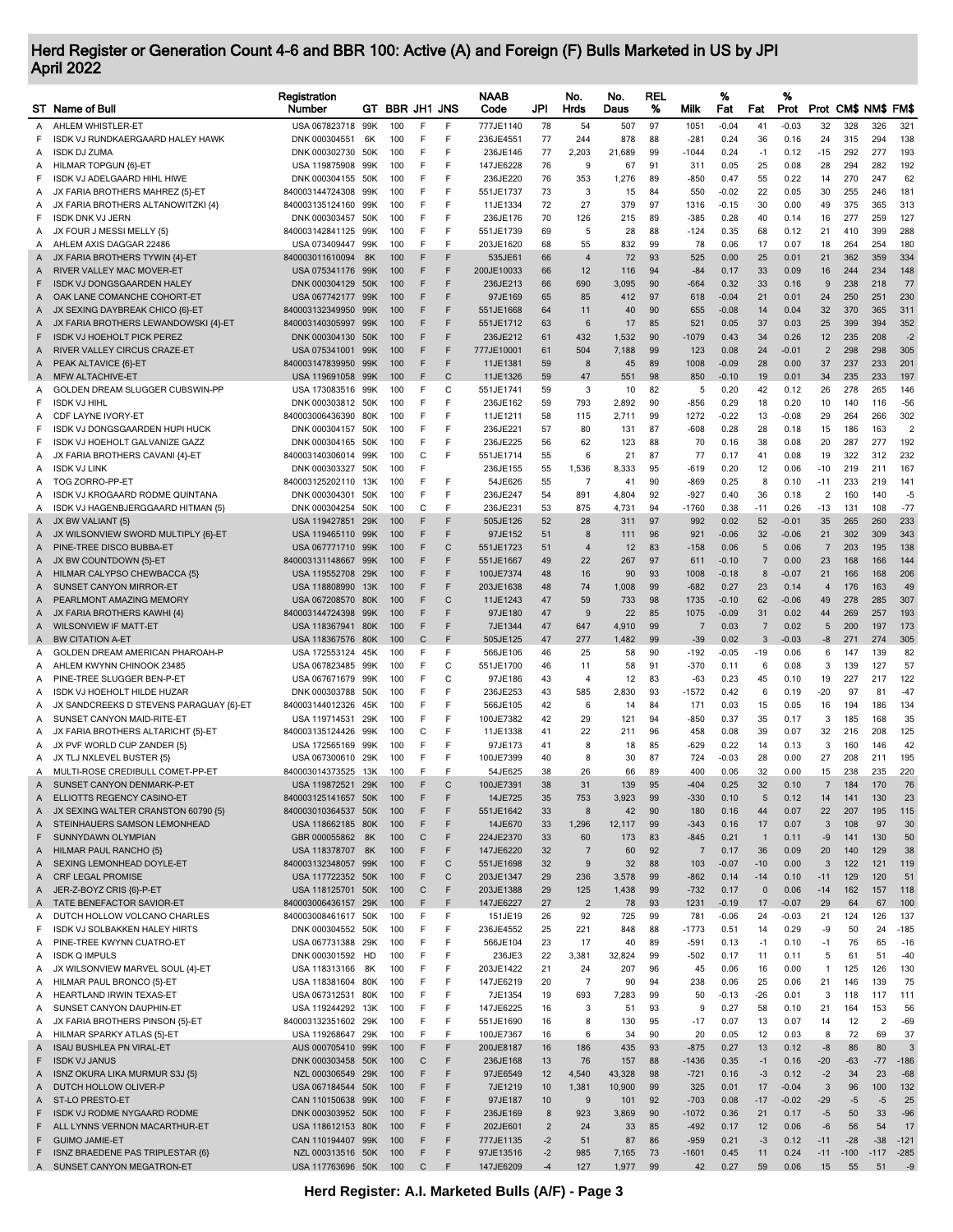## Herd Register or Generation Count 4-6 and BBR 100: Active (A) and Foreign (F) Bulls Marketed in US by JPI April 2022

|        | ST Name of Bull                                                       | Registration<br>Number               |            | GT BBR JH1 JNS |             |                   | <b>NAAB</b><br>Code    | JPI            | No.<br>Hrds          | No.<br>Daus   | REL<br>% | Milk                    | %<br>Fat           | Fat                 | %<br>Prot          |                    |            | Prot CM\$ NM\$ FM\$ |                                |
|--------|-----------------------------------------------------------------------|--------------------------------------|------------|----------------|-------------|-------------------|------------------------|----------------|----------------------|---------------|----------|-------------------------|--------------------|---------------------|--------------------|--------------------|------------|---------------------|--------------------------------|
| Α      | AHLEM WHISTLER-ET                                                     | USA 067823718 99K                    |            | 100            | F           | F                 | 777JE1140              | 78             | 54                   | 507           | 97       | 1051                    | $-0.04$            | 41                  | $-0.03$            | 32                 | 328        | 326                 | 321                            |
| F      | ISDK VJ RUNDKAERGAARD HALEY HAWK                                      | DNK 000304551                        | 6K         | 100            | F           | F                 | 236JE4551              | 77             | 244                  | 878           | 88       | $-281$                  | 0.24               | 36                  | 0.16               | 24                 | 315        | 294                 | 138                            |
| Α      | <b>ISDK DJ ZUMA</b>                                                   | DNK 000302730                        | 50K        | 100            | F           | F                 | 236JE146               | 77             | 2,203                | 21,689        | 99       | $-1044$                 | 0.24               | $-1$                | 0.12               | -15                | 292        | 277                 | 193                            |
| Α      | HILMAR TOPGUN {6}-ET                                                  | USA 119875908                        | 99K        | 100            | F           | F                 | 147JE6228              | 76             | 9                    | 67            | 91       | 311                     | 0.05               | 25                  | 0.08               | 28                 | 294        | 282                 | 192                            |
| F      | ISDK VJ ADELGAARD HIHL HIWE                                           | DNK 000304155                        | 50K        | 100            | F           | F                 | 236JE220               | 76             | 353                  | 1,276         | 89       | $-850$                  | 0.47               | 55                  | 0.22               | 14                 | 270        | 247                 | 62                             |
| Α<br>Α | JX FARIA BROTHERS MAHREZ {5}-ET<br>JX FARIA BROTHERS ALTANOWITZKI {4} | 840003144724308<br>840003135124160   | 99K<br>99K | 100<br>100     | F<br>F      | F<br>F            | 551JE1737<br>11JE1334  | 73<br>72       | 3<br>27              | 15<br>379     | 84<br>97 | 550<br>1316             | $-0.02$<br>$-0.15$ | 22<br>30            | 0.05<br>0.00       | 30<br>49           | 255<br>375 | 246<br>365          | 181<br>313                     |
| F      | <b>ISDK DNK VJ JERN</b>                                               | DNK 000303457                        | 50K        | 100            | F           | F                 | 236JE176               | 70             | 126                  | 215           | 89       | $-385$                  | 0.28               | 40                  | 0.14               | 16                 | 277        | 259                 | 127                            |
| Α      | JX FOUR J MESSI MELLY {5}                                             | 840003142841125                      | 99K        | 100            | F           | F                 | 551JE1739              | 69             | 5                    | 28            | 88       | -124                    | 0.35               | 68                  | 0.12               | 21                 | 410        | 399                 | 288                            |
| Α      | AHLEM AXIS DAGGAR 22486                                               | USA 073409447                        | .99K       | 100            | F           | F                 | 203JE1620              | 68             | 55                   | 832           | 99       | 78                      | 0.06               | 17                  | 0.07               | 18                 | 264        | 254                 | 180                            |
| A      | JX FARIA BROTHERS TYWIN {4}-ET                                        | 840003011610094                      | 8K         | 100            | F           | F                 | 535JE61                | 66             | $\overline{4}$       | 72            | 93       | 525                     | 0.00               | 25                  | 0.01               | 21                 | 362        | 359                 | 334                            |
| A      | RIVER VALLEY MAC MOVER-ET                                             | USA 075341176                        | 99K        | 100            | F           | F                 | 200JE10033             | 66             | 12                   | 116           | 94       | $-84$                   | 0.17               | 33                  | 0.09               | 16                 | 244        | 234                 | 148                            |
| F      | <b>ISDK VJ DONGSGAARDEN HALEY</b>                                     | DNK 000304129                        | 50K        | 100            | F           | F                 | 236JE213               | 66             | 690                  | 3,095         | 90       | $-664$                  | 0.32               | 33                  | 0.16               | 9                  | 238        | 218                 | 77                             |
| Α      | OAK LANE COMANCHE COHORT-ET<br>JX SEXING DAYBREAK CHICO {6}-ET        | USA 067742177<br>840003132349950     | 99K<br>99K | 100<br>100     | F<br>F      | F<br>F            | 97JE169<br>551JE1668   | 65<br>64       | 85<br>11             | 412<br>40     | 97<br>90 | 618<br>655              | $-0.04$<br>$-0.08$ | 21<br>14            | 0.01<br>0.04       | 24<br>32           | 250<br>370 | 251<br>365          | 230<br>311                     |
| A<br>A | JX FARIA BROTHERS LEWANDOWSKI {4}-ET                                  | 840003140305997                      | 99K        | 100            | F           | F                 | 551JE1712              | 63             | 6                    | 17            | 85       | 521                     | 0.05               | 37                  | 0.03               | 25                 | 399        | 394                 | 352                            |
| F      | <b>ISDK VJ HOEHOLT PICK PEREZ</b>                                     | DNK 000304130                        | 50K        | 100            | F           | F                 | 236JE212               | 61             | 432                  | 1,532         | 90       | $-1079$                 | 0.43               | 34                  | 0.26               | 12                 | 235        | 208                 | $-2$                           |
| A      | RIVER VALLEY CIRCUS CRAZE-ET                                          | USA 075341001 99K                    |            | 100            | F           | F                 | 777JE10001             | 61             | 504                  | 7,188         | 99       | 123                     | 0.08               | 24                  | $-0.01$            | $\overline{2}$     | 298        | 298                 | 305                            |
| Α      | PEAK ALTAVICE {6}-ET                                                  | 840003147839950                      | 99K        | 100            | F           | F                 | 11JE1381               | 59             | 8                    | 45            | 89       | 1008                    | $-0.09$            | 28                  | 0.00               | 37                 | 237        | 233                 | 201                            |
| A      | MFW ALTACHIVE-ET                                                      | USA 119691058                        | 99K        | 100            | F           | C                 | 11JE1326               | 59             | 47                   | 551           | 98       | 850                     | $-0.10$            | 19                  | 0.01               | 34                 | 235        | 233                 | 197                            |
| Α      | GOLDEN DREAM SLUGGER CUBSWIN-PP                                       | USA 173083516                        | 99K        | 100            | F           | C                 | 551JE1741              | 59             | 3                    | 10            | 82       | 5                       | 0.20               | 42                  | 0.12               | 26                 | 278        | 265                 | 146                            |
| F      | <b>ISDK VJ HIHL</b><br>CDF LAYNE IVORY-ET                             | DNK 000303812                        | .50K       | 100            | F<br>F      | F<br>F            | 236JE162               | 59             | 793                  | 2,892         | 90       | $-856$                  | 0.29               | 18                  | 0.20               | 10                 | 140        | 116                 | $-56$                          |
| Α<br>F | ISDK VJ DONGSGAARDEN HUPI HUCK                                        | 840003006436390<br>DNK 000304157     | 80K<br>50K | 100<br>100     | F           | F                 | 11JE1211<br>236JE221   | 58<br>57       | 115<br>80            | 2,711<br>131  | 99<br>87 | 1272<br>$-608$          | $-0.22$<br>0.28    | 13<br>28            | $-0.08$<br>0.18    | 29<br>15           | 264<br>186 | 266<br>163          | 302<br>$\overline{\mathbf{c}}$ |
| F      | ISDK VJ HOEHOLT GALVANIZE GAZZ                                        | DNK 000304165                        | 50K        | 100            | F           | F                 | 236JE225               | 56             | 62                   | 123           | 88       | 70                      | 0.16               | 38                  | 0.08               | 20                 | 287        | 277                 | 192                            |
| Α      | JX FARIA BROTHERS CAVANI {4}-ET                                       | 840003140306014                      | 99K        | 100            | С           | F                 | 551JE1714              | 55             | 6                    | 21            | 87       | 77                      | 0.17               | 41                  | 0.08               | 19                 | 322        | 312                 | 232                            |
| Α      | <b>ISDK VJ LINK</b>                                                   | DNK 000303327                        | 50K        | 100            | F           |                   | 236JE155               | 55             | 1,536                | 8,333         | 95       | $-619$                  | 0.20               | 12                  | 0.06               | -10                | 219        | 211                 | 167                            |
| A      | TOG ZORRO-PP-ET                                                       | 840003125202110                      | 13K        | 100            | F           | F                 | 54JE626                | 55             | 7                    | 41            | 90       | $-869$                  | 0.25               | 8                   | 0.10               | $-11$              | 233        | 219                 | 141                            |
| Α      | ISDK VJ KROGAARD RODME QUINTANA                                       | DNK 000304301                        | 50K        | 100            | F           | F                 | 236JE247               | 54             | 891                  | 4,804         | 92       | $-927$                  | 0.40               | 36                  | 0.18               | $\overline{2}$     | 160        | 140                 | -5                             |
| Α      | ISDK VJ HAGENBJERGGAARD HITMAN {5}                                    | DNK 000304254                        | 50K        | 100            | С           | F                 | 236JE231               | 53             | 875                  | 4,731         | 94       | $-1760$                 | 0.38               | -11                 | 0.26               | -13                | 131        | 108                 | $-77$                          |
| A      | JX BW VALIANT {5}                                                     | USA 119427851                        | 29K<br>99K | 100<br>100     | F<br>F      | F<br>F            | 505JE126               | 52<br>51       | 28<br>8              | 311           | 97<br>96 | 992                     | 0.02<br>$-0.06$    | 52<br>32            | $-0.01$<br>$-0.06$ | 35<br>21           | 265<br>302 | 260<br>309          | 233<br>343                     |
| A<br>Α | JX WILSONVIEW SWORD MULTIPLY {6}-ET<br>PINE-TREE DISCO BUBBA-ET       | USA 119465110<br>USA 067771710       | 99K        | 100            | F           | C                 | 97JE152<br>551JE1723   | 51             | $\overline{4}$       | 111<br>12     | 83       | 921<br>$-158$           | 0.06               | 5                   | 0.06               | $\overline{7}$     | 203        | 195                 | 138                            |
| A      | JX BW COUNTDOWN {5}-ET                                                | 840003131148667                      | 99K        | 100            | F           | F                 | 551JE1667              | 49             | 22                   | 267           | 97       | 611                     | $-0.10$            | $\overline{7}$      | 0.00               | 23                 | 168        | 166                 | 144                            |
| A      | HILMAR CALYPSO CHEWBACCA {5}                                          | USA 119552708                        | 29K        | 100            | F           | F                 | 100JE7374              | 48             | 16                   | 90            | 93       | 1008                    | $-0.18$            | 8                   | $-0.07$            | 21                 | 166        | 168                 | 206                            |
| A      | <b>SUNSET CANYON MIRROR-ET</b>                                        | USA 118808990                        | 13K        | 100            | F           | F                 | 203JE1638              | 48             | 74                   | 1,008         | 99       | $-682$                  | 0.27               | 23                  | 0.14               | $\overline{4}$     | 176        | 163                 | 49                             |
| A      | PEARLMONT AMAZING MEMORY                                              | USA 067208570                        | 80K        | 100            | F           | C                 | 11JE1243               | 47             | 59                   | 733           | 98       | 1735                    | $-0.10$            | 62                  | $-0.06$            | 49                 | 278        | 285                 | 307                            |
| A      | JX FARIA BROTHERS KAWHI {4}                                           | 840003144724398                      | 99K        | 100            | F           | F                 | 97JE180                | 47             | 9                    | 22            | 85       | 1075                    | $-0.09$            | 31                  | 0.02               | 44                 | 269        | 257                 | 193                            |
| A      | <b>WILSONVIEW IF MATT-ET</b><br><b>BW CITATION A-ET</b>               | USA 118367941                        | 80K        | 100            | F<br>C      | F<br>F            | 7JE1344<br>505JE125    | 47             | 647<br>277           | 4,910         | 99<br>99 | $\overline{7}$<br>$-39$ | 0.03<br>0.02       | $\overline{7}$<br>3 | 0.02<br>$-0.03$    | 5<br>-8            | 200<br>271 | 197<br>274          | 173<br>305                     |
| A<br>Α | GOLDEN DREAM AMERICAN PHAROAH-P                                       | USA 118367576<br>USA 172553124       | 80K<br>45K | 100<br>100     | F           | F                 | 566JE106               | 47<br>46       | 25                   | 1,482<br>58   | 90       | $-192$                  | $-0.05$            | -19                 | 0.06               | 6                  | 147        | 139                 | 82                             |
| Α      | AHLEM KWYNN CHINOOK 23485                                             | USA 067823485                        | 99K        | 100            | F           | C                 | 551JE1700              | 46             | 11                   | 58            | 91       | $-370$                  | 0.11               | 6                   | 0.08               | 3                  | 139        | 127                 | 57                             |
| Α      | PINE-TREE SLUGGER BEN-P-ET                                            | USA 067671679                        | 99K        | 100            | F           | C                 | 97JE186                | 43             | $\overline{4}$       | 12            | 83       | $-63$                   | 0.23               | 45                  | 0.10               | 19                 | 227        | 217                 | 122                            |
| Α      | ISDK VJ HOEHOLT HILDE HUZAR                                           | DNK 000303788                        | 50K        | 100            | F           | F                 | 236JE253               | 43             | 585                  | 2,830         | 93       | $-1572$                 | 0.42               | 6                   | 0.19               | $-20$              | 97         | 81                  | $-47$                          |
| A      | JX SANDCREEKS D STEVENS PARAGUAY {6}-ET                               | 840003144012326                      | 45K        | 100            | F           | F                 | 566JE105               | 42             | 6                    | 14            | 84       | 171                     | 0.03               | 15                  | 0.05               | 16                 | 194        | 186                 | 134                            |
| A      | SUNSET CANYON MAID-RITE-ET                                            | USA 119714531                        | 29K        | 100            | F           | F                 | 100JE7382              | 42             | 29                   | 121           | 94       | -850                    | 0.37               | 35                  | 0.17               | 3                  | 185        | 168                 | 35                             |
| A      | JX FARIA BROTHERS ALTARICHT {5}-ET                                    | 840003135124426                      | 99K        | 100            | C           | F                 | 11JE1338               | 41             | 22                   | 211           | 96       | 458                     | 0.08               | 39                  | 0.07               | 32                 | 216        | 208                 | 125                            |
| A<br>A | JX PVF WORLD CUP ZANDER {5}<br>JX TLJ NXLEVEL BUSTER {5}              | USA 172565169<br>USA 067300610       | 99K<br>29K | 100<br>100     | F<br>F      | F<br>F            | 97JE173<br>100JE7399   | 41<br>40       | 8<br>8               | 18<br>30      | 85<br>87 | $-629$<br>724           | 0.22<br>$-0.03$    | 14<br>28            | 0.13<br>0.00       | 3<br>27            | 160<br>208 | 146<br>211          | 42<br>195                      |
| A      | MULTI-ROSE CREDIBULL COMET-PP-ET                                      | 840003014373525 13K                  |            | 100            | E           | E                 | 54JE625                | 38             | 26                   | 66            | 89       | 400                     | 0.06               | 32                  | 0.00               | 15                 | 238        | 235                 | 220                            |
| A      | SUNSET CANYON DENMARK-P-ET                                            | USA 119872521                        | 29K        |                |             |                   | 100JE7391              | 38             | 31                   | 139           | 95       | -404                    | 0.25               | 32                  | 0.10               |                    |            | 170                 |                                |
| Α      | ELLIOTTS REGENCY CASINO-ET                                            | 840003125141657 50K                  |            | 100            | F           | F                 | 14JE725                | 35             | 753                  | 3,923         | 99       | $-330$                  | 0.10               | 5                   | 0.12               | 14                 | 141        | 130                 | 23                             |
| A      | JX SEXING WALTER CRANSTON 60790 {5}                                   | 840003010364537                      | 50K        | 100            | F           | F                 | 551JE1642              | 33             | 8                    | 42            | 90       | 180                     | 0.16               | 44                  | 0.07               | 22                 | 207        | 195                 | 115                            |
| A      | STEINHAUERS SAMSON LEMONHEAD                                          | USA 118662185 80K                    |            | 100            | F           | F                 | 14JE670                | 33             | 1,296                | 12,117        | 99       | $-343$                  | 0.16               | 17                  | 0.07               | 3                  | 108        | 97                  | 30                             |
| F      | SUNNYDAWN OLYMPIAN                                                    | GBR 000055862                        | 8K         | 100            | С           | F                 | 224JE2370              | 33             | 60                   | 173           | 83       | $-845$                  | 0.21               | $\mathbf{1}$        | 0.11               | -9                 | 141        | 130                 | 50                             |
| A      | HILMAR PAUL RANCHO {5}<br>SEXING LEMONHEAD DOYLE-ET                   | USA 118378707<br>840003132348057 99K | 8K         | 100<br>100     | F<br>F      | F<br>$\mathsf{C}$ | 147JE6220<br>551JE1698 | 32<br>32       | 7<br>9               | 60<br>32      | 92<br>88 | $\overline{7}$<br>103   | 0.17<br>$-0.07$    | 36<br>$-10$         | 0.09<br>0.00       | 20<br>3            | 140<br>122 | 129<br>121          | 38<br>119                      |
| A<br>Α | CRF LEGAL PROMISE                                                     | USA 117722352 50K                    |            | 100            | F           | C                 | 203JE1347              | 29             | 236                  | 3,578         | 99       | $-862$                  | 0.14               | $-14$               | 0.10               | $-11$              | 129        | 120                 | 51                             |
| Α      | JER-Z-BOYZ CRIS {6}-P-ET                                              | USA 118125701 50K                    |            | 100            | С           | F                 | 203JE1388              | 29             | 125                  | 1,438         | 99       | $-732$                  | 0.17               | $\mathbf{0}$        | 0.06               | $-14$              | 162        | 157                 | 118                            |
| Α      | TATE BENEFACTOR SAVIOR-ET                                             | 840003006436157 29K                  |            | 100            | F           | F                 | 147JE6227              | 27             | $\overline{2}$       | 78            | 93       | 1231                    | $-0.19$            | 17                  | $-0.07$            | 29                 | 64         | 67                  | 100                            |
| Α      | DUTCH HOLLOW VOLCANO CHARLES                                          | 840003008461617 50K                  |            | 100            | F           | F                 | 151JE19                | 26             | 92                   | 725           | 99       | 781                     | $-0.06$            | 24                  | $-0.03$            | 21                 | 124        | 126                 | 137                            |
| F      | ISDK VJ SOLBAKKEN HALEY HIRTS                                         | DNK 000304552 50K                    |            | 100            | F           | F                 | 236JE4552              | 25             | 221                  | 848           | 88       | $-1773$                 | 0.51               | 14                  | 0.29               | -9                 | 50         | 24                  | $-185$                         |
| Α      | PINE-TREE KWYNN CUATRO-ET                                             | USA 067731388 29K                    |            | 100            | $\mathsf F$ | F                 | 566JE104               | 23             | 17                   | 40            | 89       | $-591$                  | 0.13               | $-1$                | 0.10               | $-1$               | 76         | 65                  | $-16$                          |
| Α      | <b>ISDK Q IMPULS</b>                                                  | DNK 000301592                        | HD         | 100            | F           | F<br>F            | 236JE3                 | 22             | 3,381                | 32,824        | 99       | $-502$                  | 0.17               | 11                  | 0.11               | 5                  | 61         | 51                  | $-40$                          |
| Α<br>Α | JX WILSONVIEW MARVEL SOUL {4}-ET<br>HILMAR PAUL BRONCO {5}-ET         | USA 118313166<br>USA 118381604 80K   | 8K         | 100<br>100     | F<br>F      | F                 | 203JE1422<br>147JE6219 | 21<br>20       | 24<br>$\overline{7}$ | 207<br>90     | 96<br>94 | 45<br>238               | 0.06<br>0.06       | 16<br>25            | 0.00<br>0.06       | $\mathbf{1}$<br>21 | 125<br>146 | 126<br>139          | 130<br>75                      |
| Α      | HEARTLAND IRWIN TEXAS-ET                                              | USA 067312531 80K                    |            | 100            | F           | F                 | 7JE1354                | 19             | 693                  | 7,283         | 99       | 50                      | $-0.13$            | $-26$               | 0.01               | 3                  | 118        | 117                 | 111                            |
| Α      | SUNSET CANYON DAUPHIN-ET                                              | USA 119244292                        | 13K        | 100            | F           | F                 | 147JE6225              | 16             | 3                    | 51            | 93       | 9                       | 0.27               | 58                  | 0.10               | 21                 | 164        | 153                 | 56                             |
| Α      | JX FARIA BROTHERS PINSON {5}-ET                                       | 840003132351602 29K                  |            | 100            | $\mathsf F$ | F                 | 551JE1690              | 16             | 8                    | 130           | 95       | $-17$                   | 0.07               | 13                  | 0.07               | 14                 | 12         | $\overline{2}$      | $-69$                          |
| Α      | HILMAR SPARKY ATLAS {5}-ET                                            | USA 119268647 29K                    |            | 100            | F           | F                 | 100JE7367              | 16             | 6                    | 34            | 90       | 20                      | 0.05               | 12                  | 0.03               | 8                  | 72         | 69                  | 37                             |
| A      | <b>ISAU BUSHLEA PN VIRAL-ET</b>                                       | AUS 000705410 99K                    |            | 100            | F           | F                 | 200JE8187              | 16             | 186                  | 435           | 93       | $-875$                  | 0.27               | 13                  | 0.12               | $-8$               | 86         | 80                  | 3                              |
| F      | <b>ISDK VJ JANUS</b>                                                  | DNK 000303458 50K                    |            | 100            | С           | F                 | 236JE168               | 13             | 76                   | 157           | 88       | $-1436$                 | 0.35               | $-1$                | 0.16               | $-20$              | $-63$      | $-77$               | $-186$                         |
| A      | ISNZ OKURA LIKA MURMUR S3J {5}                                        | NZL 000306549 29K                    |            | 100            | F<br>F      | F<br>F            | 97JE6549               | 12             | 4,540                | 43,328        | 98       | $-721$                  | 0.16               | $-3$                | 0.12               | $-2$<br>3          | 34         | 23                  | $-68$                          |
| A<br>A | DUTCH HOLLOW OLIVER-P<br>ST-LO PRESTO-ET                              | USA 067184544 50K<br>CAN 110150638   | 99K        | 100<br>100     | F           | F                 | 7JE1219<br>97JE187     | 10<br>10       | 1,381<br>9           | 10,900<br>101 | 99<br>92 | 325<br>$-703$           | 0.01<br>0.08       | 17<br>$-17$         | $-0.04$<br>$-0.02$ | $-29$              | 96<br>$-5$ | 100<br>$-5$         | 132<br>25                      |
| F      | ISDK VJ RODME NYGAARD RODME                                           | DNK 000303952 50K                    |            | 100            | F           | F                 | 236JE169               | 8              | 923                  | 3,869         | 90       | $-1072$                 | 0.36               | 21                  | 0.17               | $-5$               | 50         | 33                  | $-96$                          |
| F      | ALL LYNNS VERNON MACARTHUR-ET                                         | USA 118612153 80K                    |            | 100            | F           | F                 | 202JE601               | $\overline{2}$ | 24                   | 33            | 85       | $-492$                  | 0.17               | 12                  | 0.06               | $-6$               | 56         | 54                  | 17                             |
| F      | <b>GUIMO JAMIE-ET</b>                                                 | CAN 110194407 99K                    |            | 100            | F           | F                 | 777JE1135              | $-2$           | 51                   | 87            | 86       | $-959$                  | 0.21               | $-3$                | 0.12               | $-11$              | $-28$      | $-38$               | $-121$                         |
| F      | ISNZ BRAEDENE PAS TRIPLESTAR {6}                                      | NZL 000313516 50K                    |            | 100            | F           | F                 | 97JE13516              | $-2$           | 985                  | 7,165         | 73       | $-1601$                 | 0.45               | 11                  | 0.24               | $-11$              | $-100$     | $-117$              | $-285$                         |
|        | A SUNSET CANYON MEGATRON-ET                                           | USA 117763696 50K                    |            | 100            | С           | F                 | 147JE6209              | $-4$           | 127                  | 1,977         | 99       | 42                      | 0.27               | 59                  | 0.06               | 15                 | 55         | 51                  | $-9$                           |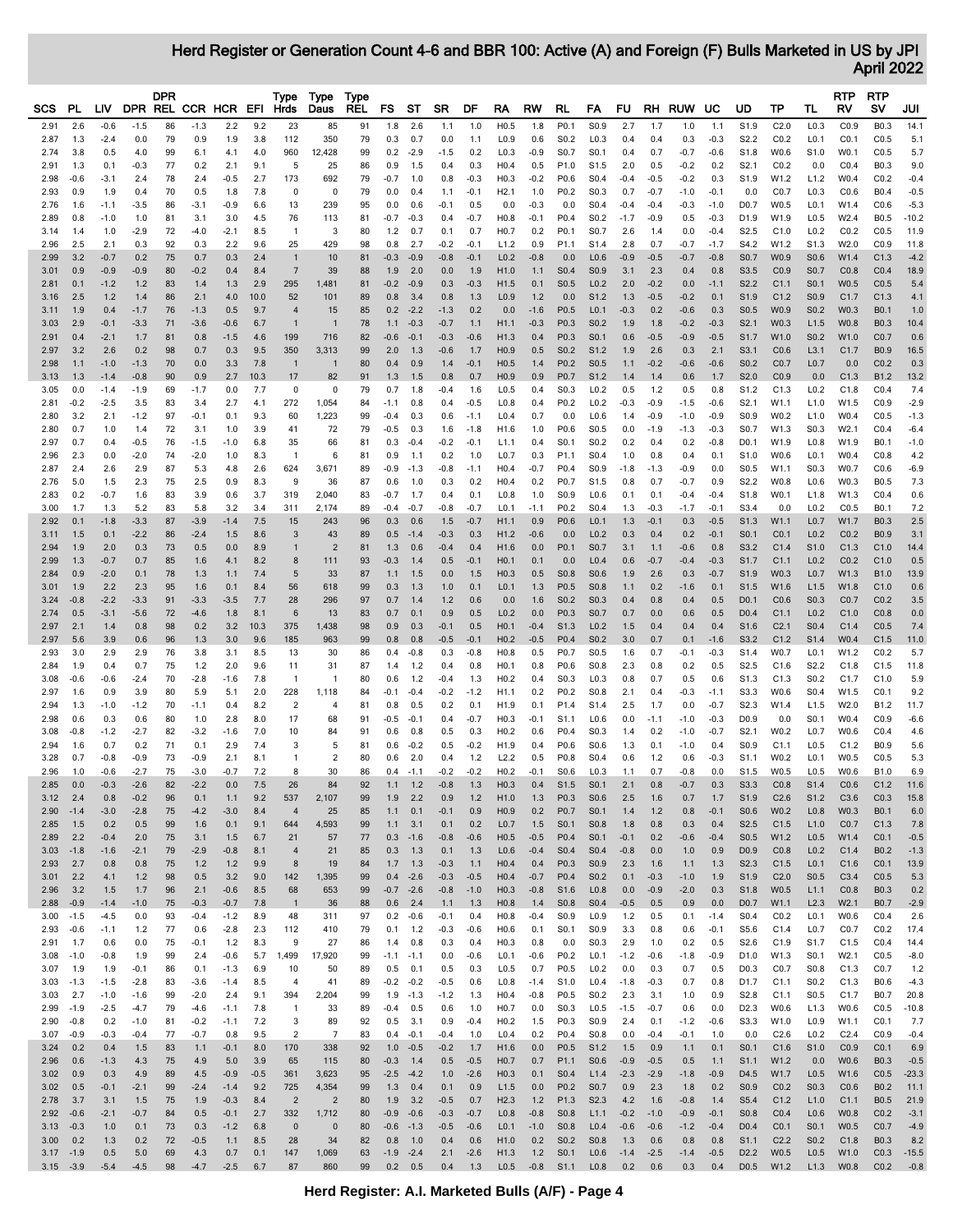Herd Register or Generation Count 4-6 and BBR 100: Active (A) and Foreign (F) Bulls Marketed in US by JPI April 2022

|              |        |        |        | <b>DPR</b> |                     |        |        | Type           | Type                 | Type       |              |                 |           |        |                  |           |                  |                  |        |        |           |        |                  |                  |                  | RTP              | <b>RTP</b>       |         |
|--------------|--------|--------|--------|------------|---------------------|--------|--------|----------------|----------------------|------------|--------------|-----------------|-----------|--------|------------------|-----------|------------------|------------------|--------|--------|-----------|--------|------------------|------------------|------------------|------------------|------------------|---------|
| SCS          | PL     | LIV    |        |            | DPR REL CCR HCR EFI |        |        | Hrds           | Daus                 | <b>REL</b> | FS           | ST              | <b>SR</b> | DF     | RA               | <b>RW</b> | RL               | FA               | FU.    |        | RH RUW UC |        | UD               | ТP               | TL               | R٧               | s٧               | JUI     |
| 2.91         | 2.6    | $-0.6$ | $-1.5$ | 86         | $-1.3$              | 2.2    | 9.2    | 23             | 85                   | 91         | 1.8          | 2.6             | 1.1       | 1.0    | H0.5             | 1.8       | P0.1             | S0.9             | 2.7    | 1.7    | 1.0       | 1.1    | S1.9             | C2.0             | L0.3             | CO.9             | B0.3             | 14.1    |
| 2.87         | 1.3    | $-2.4$ | 0.0    | 79         | 0.9                 | 1.9    | 3.8    | 112            | 350                  | 79         | 0.3          | 0.7             | 0.0       | 1.1    | L <sub>0.9</sub> | 0.6       | S <sub>0.2</sub> | L <sub>0.3</sub> | 0.4    | 0.4    | 0.3       | $-0.3$ | S <sub>2.2</sub> | CO.2             | L <sub>0.1</sub> | CO.1             | CO.5             | 5.1     |
| 2.74         | 3.8    | 0.5    | 4.0    | 99         | 6.1                 | 4.1    | 4.0    | 960            | 12,428               | 99         | 0.2          | $-2.9$          | $-1.5$    | 0.2    | L0.3             | $-0.9$    | S0.7             | S0.1             | 0.4    | 0.7    | $-0.7$    | $-0.6$ | S1.8             | W0.6             | S1.0             | W0.1             | CO.5             | 5.7     |
|              |        |        |        |            |                     |        |        | 5              |                      |            |              |                 |           |        |                  |           |                  |                  |        |        |           |        |                  |                  |                  |                  | B0.3             | 9.0     |
| 2.91         | 1.3    | 0.1    | $-0.3$ | 77         | 0.2                 | 2.1    | 9.1    |                | 25                   | 86         | 0.9          | 1.5             | 0.4       | 0.3    | H0.4             | 0.5       | P1.0             | S <sub>1.5</sub> | 2.0    | 0.5    | $-0.2$    | 0.2    | S <sub>2.1</sub> | CO.2             | 0.0              | CO.4             |                  |         |
| 2.98         | $-0.6$ | $-3.1$ | 2.4    | 78         | 2.4                 | $-0.5$ | 2.7    | 173            | 692                  | 79         | $-0.7$       | 1.0             | 0.8       | $-0.3$ | H <sub>0.3</sub> | $-0.2$    | P0.6             | S0.4             | $-0.4$ | $-0.5$ | $-0.2$    | 0.3    | S1.9             | W1.2             | L1.2             | W0.4             | CO.2             | $-0.4$  |
| 2.93         | 0.9    | 1.9    | 0.4    | 70         | 0.5                 | 1.8    | 7.8    |                | $\mathbf 0$          | 79         | 0.0          | 0.4             | 1.1       | $-0.1$ | H2.1             | 1.0       | P0.2             | S0.3             | 0.7    | $-0.7$ | $-1.0$    | $-0.1$ | 0.0              | CO.7             | L <sub>0.3</sub> | CO.6             | B0.4             | $-0.5$  |
| 2.76         | 1.6    | $-1.1$ | $-3.5$ | 86         | -3.1                | $-0.9$ | 6.6    | 13             | 239                  | 95         | 0.0          | 0.6             | $-0.1$    | 0.5    | 0.0              | $-0.3$    | 0.0              | S0.4             | $-0.4$ | $-0.4$ | $-0.3$    | $-1.0$ | D <sub>0.7</sub> | W0.5             | L <sub>0.1</sub> | W1.4             | CO.6             | $-5.3$  |
| 2.89         | 0.8    | $-1.0$ | 1.0    | 81         | 3.1                 | 3.0    | 4.5    | 76             | 113                  | 81         | $-0.7$       | $-0.3$          | 0.4       | $-0.7$ | H <sub>0.8</sub> | $-0.1$    | P <sub>0.4</sub> | S <sub>0.2</sub> | $-1.7$ | $-0.9$ | 0.5       | $-0.3$ | D1.9             | W1.9             | L <sub>0.5</sub> | W2.4             | B0.5             | $-10.2$ |
| 3.14         | 1.4    | 1.0    | $-2.9$ | 72         | -4.0                | $-2.1$ | 8.5    | $\mathbf{1}$   | 3                    | 80         | 1.2          | 0.7             | 0.1       | 0.7    | H <sub>0.7</sub> | 0.2       | P0.1             | S0.7             | 2.6    | 1.4    | 0.0       | $-0.4$ | S <sub>2.5</sub> | C1.0             | L <sub>0.2</sub> | CO.2             | CO.5             | 11.9    |
| 2.96         | 2.5    | 2.1    | 0.3    | 92         | 0.3                 | 2.2    | 9.6    | 25             | 429                  | 98         | 0.8          | 2.7             | $-0.2$    | $-0.1$ | L1.2             | 0.9       | P1.1             | S1.4             | 2.8    | 0.7    | $-0.7$    | $-1.7$ | S4.2             | W1.2             | S <sub>1.3</sub> | W2.0             | CO.9             | 11.8    |
| 2.99         | 3.2    | $-0.7$ | 0.2    | 75         | 0.7                 | 0.3    | 2.4    | $\mathbf{1}$   | 10                   | 81         | $-0.3$       | $-0.9$          | $-0.8$    | $-0.1$ | L <sub>0.2</sub> | $-0.8$    | 0.0              | L <sub>0.6</sub> | $-0.9$ | $-0.5$ | $-0.7$    | $-0.8$ | S0.7             | W0.9             | S0.6             | W1.4             | C1.3             | $-4.2$  |
| 3.01         | 0.9    | $-0.9$ | $-0.9$ | 80         | $-0.2$              | 0.4    | 8.4    | $\overline{7}$ | 39                   | 88         | 1.9          | 2.0             | 0.0       | 1.9    | H1.0             | 1.1       | S <sub>0.4</sub> | S0.9             | 3.1    | 2.3    | 0.4       | 0.8    | S3.5             | CO.9             | S0.7             | CO.8             | CO.4             | 18.9    |
| 2.81         | 0.1    | $-1.2$ | 1.2    | 83         | 1.4                 | 1.3    | 2.9    | 295            | 1,481                | 81         | $-0.2$       | $-0.9$          | 0.3       | $-0.3$ | H <sub>1.5</sub> | 0.1       | S <sub>0.5</sub> | L <sub>0.2</sub> | 2.0    | $-0.2$ | 0.0       | $-1.1$ | S <sub>2.2</sub> | C1.1             | S <sub>0.1</sub> | W0.5             | CO.5             | 5.4     |
| 3.16         | 2.5    | 1.2    | 1.4    | 86         | 2.1                 | 4.0    | 10.0   | 52             | 101                  | 89         | 0.8          | 3.4             | 0.8       | 1.3    | L <sub>0.9</sub> | $1.2$     | 0.0              | S1.2             | 1.3    | $-0.5$ | $-0.2$    | 0.1    | S <sub>1.9</sub> | C1.2             | S <sub>0.9</sub> | C1.7             | C1.3             | 4.1     |
| 3.11         | 1.9    | 0.4    | $-1.7$ | 76         | $-1.3$              | 0.5    | 9.7    | 4              | 15                   | 85         | 0.2          | $-2.2$          | $-1.3$    | 0.2    | 0.0              | $-1.6$    | P <sub>0.5</sub> | L <sub>0.1</sub> | $-0.3$ | 0.2    | $-0.6$    | 0.3    | S <sub>0.5</sub> | W0.9             | S <sub>0.2</sub> | W0.3             | B0.1             | 1.0     |
| 3.03         | 2.9    | $-0.1$ | $-3.3$ | 71         | $-3.6$              | $-0.6$ | 6.7    | $\mathbf{1}$   | $\overline{1}$       | 78         |              | $1.1 - 0.3$     | $-0.7$    | 1.1    | H1.1             | $-0.3$    | P0.3             | S <sub>0.2</sub> | 1.9    | 1.8    | $-0.2$    | $-0.3$ | S2.1             | W0.3             | L1.5             | W0.8             | B0.3             | 10.4    |
| 2.91         | 0.4    | $-2.1$ | 1.7    | 81         | 0.8                 | $-1.5$ | 4.6    | 199            | 716                  | 82         | -0.6         | $-0.1$          | $-0.3$    | $-0.6$ | H1.3             | 0.4       | P0.3             | S0.1             | 0.6    | $-0.5$ | $-0.9$    | $-0.5$ | S1.7             | W1.0             | S <sub>0.2</sub> | W1.0             | CO.7             | 0.6     |
| 2.97         | 3.2    | 2.6    | 0.2    | 98         | 0.7                 | 0.3    | 9.5    | 350            | 3,313                | 99         | 2.0          | 1.3             | $-0.6$    | 1.7    | H <sub>0.9</sub> | 0.5       | S <sub>0.2</sub> | S1.2             | 1.9    | 2.6    | 0.3       | 2.1    | S3.1             | CO.6             | L3.1             | C1.7             | B0.9             | 16.5    |
| 2.98         | 1.1    | $-1.0$ | $-1.3$ | 70         | 0.0                 | 3.3    | 7.8    | $\mathbf{1}$   | $\overline{1}$       | 80         | 0.4          | 0.9             | 1.4       | $-0.1$ | H0.5             | 1.4       | P <sub>0.2</sub> | S0.5             | 1.1    | $-0.2$ | $-0.6$    | $-0.6$ | S <sub>0.2</sub> | CO.7             | L <sub>0.7</sub> | 0.0              | CO.2             | 0.3     |
| 3.13         | 1.3    | $-1.4$ | $-0.8$ | 90         | 0.9                 | 2.7    | 10.3   | 17             | 82                   | 91         | 1.3          | 1.5             | 0.8       | 0.7    | H <sub>0.9</sub> | 0.9       | P0.7             | S1.2             | 1.4    | 1.4    | 0.6       | 1.7    | S <sub>2.0</sub> | CO.9             | 0.0              | C1.3             | B1.2             | 13.2    |
| 3.05         | 0.0    | $-1.4$ | $-1.9$ | 69         | $-1.7$              | 0.0    | 7.7    | 0              | 0                    | 79         | 0.7          | 1.8             | $-0.4$    | 1.6    | L <sub>0.5</sub> | 0.4       | S <sub>0.3</sub> | L <sub>0.2</sub> | 0.5    | 1.2    | 0.5       | 0.8    | S <sub>1.2</sub> | C1.3             | L <sub>0.2</sub> | C1.8             | CO.4             | 7.4     |
| 2.81         | $-0.2$ | $-2.5$ | 3.5    | 83         | 3.4                 | 2.7    | 4.1    | 272            | 1,054                | 84         | $-1.1$       | 0.8             | 0.4       | $-0.5$ | L <sub>0.8</sub> | 0.4       | P0.2             | L <sub>0.2</sub> | $-0.3$ | $-0.9$ | $-1.5$    | $-0.6$ | S <sub>2.1</sub> | W1.1             | L1.0             | W1.5             | CO.9             | $-2.9$  |
| 2.80         | 3.2    | 2.1    | $-1.2$ | 97         | -0.1                | 0.1    | 9.3    | 60             | 1,223                | 99         | $-0.4$       | 0.3             | 0.6       | $-1.1$ | L <sub>0.4</sub> | 0.7       | 0.0              | L <sub>0.6</sub> | 1.4    | $-0.9$ | $-1.0$    | $-0.9$ | S <sub>0.9</sub> | W0.2             | L1.0             | W0.4             | CO.5             | $-1.3$  |
| 2.80         | 0.7    | 1.0    | 1.4    | 72         | 3.1                 | 1.0    | 3.9    | 41             | 72                   | 79         | $-0.5$       | 0.3             | 1.6       | $-1.8$ | H <sub>1.6</sub> | 1.0       | P0.6             | S0.5             | 0.0    | $-1.9$ | $-1.3$    | $-0.3$ | S0.7             | W1.3             | S <sub>0.3</sub> | W2.1             | CO.4             | $-6.4$  |
| 2.97         | 0.7    | 0.4    | $-0.5$ | 76         | $-1.5$              | $-1.0$ | 6.8    | 35             | 66                   | 81         | 0.3          | $-0.4$          | $-0.2$    | $-0.1$ | L1.1             | 0.4       | S0.1             | S0.2             | 0.2    | 0.4    | 0.2       | $-0.8$ | D <sub>0.1</sub> | W1.9             | L0.8             | W1.9             | B0.1             | $-1.0$  |
| 2.96         | 2.3    | 0.0    | $-2.0$ | 74         | $-2.0$              | 1.0    | 8.3    | $\mathbf{1}$   | 6                    | 81         | 0.9          | 1.1             | 0.2       | 1.0    | L <sub>0.7</sub> | 0.3       | P1.1             | S <sub>0.4</sub> | 1.0    | 0.8    | 0.4       | 0.1    | S1.0             | W0.6             | L <sub>0.1</sub> | W0.4             | CO.8             | 4.2     |
| 2.87         | 2.4    | 2.6    | 2.9    | 87         | 5.3                 | 4.8    | 2.6    | 624            | 3,671                | 89         | $-0.9$       | $-1.3$          | $-0.8$    | $-1.1$ | H0.4             | $-0.7$    | P0.4             | S <sub>0.9</sub> | $-1.8$ | $-1.3$ | $-0.9$    | 0.0    | S0.5             | W1.1             | S <sub>0.3</sub> | W0.7             | CO.6             | $-6.9$  |
| 2.76         | 5.0    | 1.5    | 2.3    | 75         | 2.5                 | 0.9    | 8.3    | 9              | 36                   | 87         | 0.6          | 1.0             | 0.3       | 0.2    | H <sub>0.4</sub> | 0.2       | P0.7             | S1.5             | 0.8    | 0.7    | $-0.7$    | 0.9    | S <sub>2.2</sub> | W0.8             | L0.6             | W0.3             | B0.5             | 7.3     |
| 2.83         | 0.2    | $-0.7$ | 1.6    | 83         | 3.9                 | 0.6    | 3.7    | 319            | 2,040                | 83         | -0.7         | 1.7             | 0.4       | 0.1    | L <sub>0.8</sub> | 1.0       | S <sub>0.9</sub> | L0.6             | 0.1    | 0.1    | $-0.4$    | $-0.4$ | S1.8             | W0.1             | L1.8             | W1.3             | CO.4             | 0.6     |
| 3.00         | 1.7    | 1.3    | 5.2    | 83         | 5.8                 | 3.2    | 3.4    | 311            | 2,174                | 89         | $-0.4$       | $-0.7$          | $-0.8$    | $-0.7$ | L <sub>0.1</sub> | $-1.1$    | P0.2             | S <sub>0.4</sub> | 1.3    | $-0.3$ | $-1.7$    | $-0.1$ | S3.4             | 0.0              | L <sub>0.2</sub> | CO.5             | B0.1             | 7.2     |
| 2.92         | 0.1    | $-1.8$ | $-3.3$ | 87         | $-3.9$              | $-1.4$ | 7.5    | 15             | 243                  | 96         | 0.3          | 0.6             | 1.5       | $-0.7$ | H1.1             | 0.9       | P0.6             | L <sub>0.1</sub> | 1.3    | $-0.1$ | 0.3       | $-0.5$ | S <sub>1.3</sub> | W1.1             | L <sub>0.7</sub> | W1.7             | B0.3             | 2.5     |
|              |        |        |        |            |                     |        |        | 3              |                      |            |              |                 |           |        |                  |           |                  | L <sub>0.2</sub> |        |        |           |        |                  |                  |                  |                  | B0.9             | 3.1     |
| 3.11         | 1.5    | 0.1    | $-2.2$ | 86         | $-2.4$              | 1.5    | 8.6    |                | 43<br>$\overline{2}$ | 89         | 0.5          | $-1.4$          | $-0.3$    | 0.3    | H <sub>1.2</sub> | $-0.6$    | 0.0              |                  | 0.3    | 0.4    | 0.2       | $-0.1$ | S <sub>0.1</sub> | CO.1             | L <sub>0.2</sub> | CO.2             |                  |         |
| 2.94         | 1.9    | 2.0    | 0.3    | 73         | 0.5                 | 0.0    | 8.9    | $\mathbf{1}$   |                      | 81         | 1.3          | 0.6             | $-0.4$    | 0.4    | H <sub>1.6</sub> | 0.0       | P0.1             | S0.7             | 3.1    | 1.1    | $-0.6$    | 0.8    | S3.2             | C1.4             | S1.0             | C1.3             | C1.0             | 14.4    |
| 2.99         | 1.3    | $-0.7$ | 0.7    | 85         | 1.6                 | 4.1    | 8.2    | 8              | 111                  | 93         | $-0.3$       | 1.4             | 0.5       | $-0.1$ | H <sub>0.1</sub> | 0.1       | 0.0              | L0.4             | 0.6    | $-0.7$ | $-0.4$    | $-0.3$ | S1.7             | C1.1             | L <sub>0.2</sub> | CO.2             | C1.0             | 0.5     |
| 2.84         | 0.9    | $-2.0$ | 0.1    | 78         | 1.3                 | 1.1    | 7.4    | 5              | 33                   | 87         | 1.1          | 1.5             | 0.0       | 1.5    | H <sub>0.3</sub> | 0.5       | S0.8             | S0.6             | 1.9    | 2.6    | 0.3       | $-0.7$ | S1.9             | W0.3             | L <sub>0.7</sub> | W1.3             | B1.0             | 13.9    |
| 3.01         | 1.9    | 2.2    | 2.3    | 95         | 1.6                 | 0.1    | 8.4    | 56             | 618                  | 99         | 0.3          | 1.3             | 1.0       | 0.1    | L <sub>0.1</sub> | 1.3       | P <sub>0.5</sub> | S0.8             | 1.1    | 0.2    | $-1.6$    | 0.1    | S1.5             | W1.6             | L1.5             | W1.8             | C1.0             | 0.6     |
| 3.24         | $-0.8$ | $-2.2$ | $-3.3$ | 91         | $-3.3$              | $-3.5$ | 7.7    | 28             | 296                  | 97         | 0.7          | 1.4             | 1.2       | 0.6    | 0.0              | 1.6       | S <sub>0.2</sub> | S <sub>0.3</sub> | 0.4    | 0.8    | 0.4       | 0.5    | D <sub>0.1</sub> | CO.6             | S <sub>0.3</sub> | CO.7             | CO.2             | 3.5     |
| 2.74         | 0.5    | $-3.1$ | $-5.6$ | 72         | $-4.6$              | 1.8    | 8.1    | 6              | 13                   | 83         | 0.7          | 0.1             | 0.9       | 0.5    | L <sub>0.2</sub> | 0.0       | P0.3             | S0.7             | 0.7    | 0.0    | 0.6       | 0.5    | D <sub>0.4</sub> | C1.1             | L <sub>0.2</sub> | C1.0             | CO.8             | 0.0     |
| 2.97         | 2.1    | 1.4    | 0.8    | 98         | 0.2                 | 3.2    | 10.3   | 375            | 1,438                | 98         | 0.9          | 0.3             | $-0.1$    | 0.5    | H <sub>0.1</sub> | $-0.4$    | S <sub>1.3</sub> | L <sub>0.2</sub> | 1.5    | 0.4    | 0.4       | 0.4    | S1.6             | C <sub>2.1</sub> | S <sub>0.4</sub> | C1.4             | CO.5             | 7.4     |
| 2.97         | 5.6    | 3.9    | 0.6    | 96         | 1.3                 | 3.0    | 9.6    | 185            | 963                  | 99         | 0.8          | 0.8             | $-0.5$    | $-0.1$ | H <sub>0.2</sub> | $-0.5$    | P <sub>0.4</sub> | S <sub>0.2</sub> | 3.0    | 0.7    | 0.1       | $-1.6$ | S3.2             | C1.2             | S1.4             | W0.4             | C1.5             | 11.0    |
| 2.93         | 3.0    | 2.9    | 2.9    | 76         | 3.8                 | 3.1    | 8.5    | 13             | 30                   | 86         | 0.4          | $-0.8$          | 0.3       | $-0.8$ | H <sub>0.8</sub> | 0.5       | P0.7             | S0.5             | 1.6    | 0.7    | $-0.1$    | $-0.3$ | S1.4             | W0.7             | L <sub>0.1</sub> | W1.2             | CO.2             | 5.7     |
| 2.84         | 1.9    | 0.4    | 0.7    | 75         | 1.2                 | 2.0    | 9.6    | 11             | 31                   | 87         | 1.4          | 1.2             | 0.4       | 0.8    | H <sub>0.1</sub> | 0.8       | P0.6             | S0.8             | 2.3    | 0.8    | 0.2       | 0.5    | S <sub>2.5</sub> | C1.6             | S <sub>2.2</sub> | C1.8             | C1.5             | 11.8    |
| 3.08         | $-0.6$ | $-0.6$ | $-2.4$ | 70         | $-2.8$              | $-1.6$ | 7.8    | $\mathbf{1}$   | $\overline{1}$       | 80         | 0.6          | 1.2             | $-0.4$    | 1.3    | H <sub>0.2</sub> | 0.4       | S <sub>0.3</sub> | L <sub>0.3</sub> | 0.8    | 0.7    | 0.5       | 0.6    | S <sub>1.3</sub> | C1.3             | S <sub>0.2</sub> | C1.7             | C1.0             | 5.9     |
| 2.97         | 1.6    | 0.9    | 3.9    | 80         | 5.9                 | 5.1    | 2.0    | 228            | 1,118                | 84         | -0.1         | $-0.4$          | $-0.2$    | $-1.2$ | H1.1             | 0.2       | P <sub>0.2</sub> | S0.8             | 2.1    | 0.4    | $-0.3$    | $-1.1$ | S3.3             | W0.6             | S <sub>0.4</sub> | W1.5             | CO.1             | 9.2     |
| 2.94         | 1.3    | $-1.0$ | $-1.2$ | 70         | $-1.1$              | 0.4    | 8.2    | 2              | $\overline{4}$       | 81         | 0.8          | 0.5             | 0.2       | 0.1    | H <sub>1.9</sub> | 0.1       | P <sub>1.4</sub> | S1.4             | 2.5    | 1.7    | 0.0       | $-0.7$ | S <sub>2.3</sub> | W1.4             | L1.5             | W2.0             | B1.2             | 11.7    |
| 2.98         | 0.6    | 0.3    | 0.6    | 80         | 1.0                 | 2.8    | 8.0    | 17             | 68                   | 91         | $-0.5$       | $-0.1$          | 0.4       | $-0.7$ | H <sub>0.3</sub> | -0.1      | S1.1             | L0.6             | 0.0    | $-1.1$ | $-1.0$    | $-0.3$ | D <sub>0.9</sub> | 0.0              | S0.1             | W0.4             | CO.9             | $-6.6$  |
| 3.08         | $-0.8$ | $-1.2$ | $-2.7$ | 82         | $-3.2$              | $-1.6$ | 7.0    | 10             | 84                   | 91         | 0.6          | 0.8             | 0.5       | 0.3    | H <sub>0.2</sub> | 0.6       | P0.4             | S <sub>0.3</sub> | 1.4    | 0.2    | $-1.0$    | $-0.7$ | S <sub>2.1</sub> | W0.2             | L <sub>0.7</sub> | W0.6             | CO.4             | 4.6     |
| 2.94         | 1.6    | 0.7    | 0.2    | 71         | 0.1                 | 2.9    | 7.4    | 3              | 5                    | 81         | 0.6          | $-0.2$          | 0.5       | $-0.2$ | H1.9             | 0.4       | P0.6             | S0.6             | 1.3    | 0.1    | $-1.0$    | 0.4    | S <sub>0.9</sub> | C1.1             | L <sub>0.5</sub> | C1.2             | B0.9             | 5.6     |
| 3.28         | 0.7    | $-0.8$ | $-0.9$ | 73         | $-0.9$              | 2.1    | 8.1    | $\mathbf{1}$   | $\overline{c}$       | 80         | 0.6          | 2.0             | 0.4       | 1.2    | L2.2             | 0.5       | P0.8             | S0.4             | 0.6    | 1.2    | 0.6       | $-0.3$ | S1.1             | W0.2             | L <sub>0.1</sub> | W0.5             | CO.5             | 5.3     |
| 2.96         | 1.0    | $-0.6$ | $-2.7$ | 75         | $-3.0$              | $-0.7$ | 7.2    | 8              | 30                   | 86         | 0.4          | $-1.1$          | $-0.2$    | $-0.2$ | H <sub>0.2</sub> | $-0.1$    | S0.6             | L <sub>0.3</sub> | 1.1    | 0.7    | $-0.8$    | 0.0    | S1.5             | W0.5             | L <sub>0.5</sub> | W0.6             | B1.0             | 6.9     |
| 2.85         | 0.0    | $-0.3$ | $-2.6$ | 82         | $-2.2$              | 0.0    | 7.5    | 26             | 84                   | 92         |              | $1.1$ 1.2       | $-0.8$    | 1.3    | H <sub>0.3</sub> | 0.4       |                  | S1.5 S0.1        | 2.1    | 0.8    | $-0.7$    | 0.3    | S3.3             | CO.8             | S <sub>1.4</sub> | CO.6             | C1.2             | 11.6    |
| 3.12         | 2.4    | 0.8    | $-0.2$ | 96         | 0.1                 | 1.1    | 9.2    | 537            | 2,107                | 99         | 1.9          | 2.2             | 0.9       | $1.2$  | H1.0             | 1.3       | P <sub>0.3</sub> | S0.6             | 2.5    | 1.6    | 0.7       | 1.7    | S1.9             | C2.6             | S <sub>1.2</sub> | C3.6             | CO.3             | 15.8    |
| 2.90         | $-1.4$ | $-3.0$ | $-2.8$ | 75         | $-4.2$              | $-3.0$ | 8.4    | $\overline{4}$ | 25                   | 85         | 1.1          | 0.1             | $-0.1$    | 0.9    | H <sub>0.9</sub> | 0.2       | P <sub>0.7</sub> | S0.1             | 1.4    | 1.2    | 0.8       | $-0.1$ | S <sub>0.6</sub> | W0.2             | L <sub>0.8</sub> | W0.3             | B0.1             | 6.0     |
| 2.85         | 1.5    | 0.2    | 0.5    | 99         | 1.6                 | 0.1    | 9.1    | 644            | 4,593                | 99         | 1.1          | 3.1             | 0.1       | 0.2    | L <sub>0.7</sub> | 1.5       | S <sub>0.1</sub> | S0.8             | 1.8    | 0.8    | 0.3       | 0.4    | S <sub>2.5</sub> | C1.5             | L1.0             | CO.7             | C1.3             | 7.8     |
| 2.89         | 2.2    | $-0.4$ | 2.0    | 75         | 3.1                 | 1.5    | 6.7    | 21             | 57                   | 77         |              | $0.3 - 1.6$     | $-0.8$    | $-0.6$ | H <sub>0.5</sub> | $-0.5$    | P <sub>0.4</sub> | S <sub>0.1</sub> | $-0.1$ | 0.2    | $-0.6$    | $-0.4$ | S <sub>0.5</sub> | W1.2             | L <sub>0.5</sub> | W1.4             | CO.1             | $-0.5$  |
| $3.03 - 1.8$ |        | $-1.6$ | $-2.1$ | 79         | $-2.9$              | $-0.8$ | 8.1    | $\overline{4}$ | 21                   | 85         | 0.3          | 1.3             | 0.1       | 1.3    | L <sub>0.6</sub> | $-0.4$    | S <sub>0.4</sub> | S <sub>0.4</sub> | $-0.8$ | 0.0    | 1.0       | 0.9    | D <sub>0.9</sub> | CO.8             | L <sub>0.2</sub> | C1.4             | B <sub>0.2</sub> | $-1.3$  |
| 2.93         | 2.7    | 0.8    | 0.8    | 75         | 1.2                 | 1.2    | 9.9    | 8              | 19                   | 84         | 1.7          | 1.3             | $-0.3$    | 1.1    | H <sub>0.4</sub> | 0.4       | P <sub>0.3</sub> | S <sub>0.9</sub> | 2.3    | 1.6    | 1.1       | 1.3    | S <sub>2.3</sub> | C1.5             | L <sub>0.1</sub> | C1.6             | CO.1             | 13.9    |
| 3.01         | 2.2    | 4.1    | 1.2    | 98         | 0.5                 | 3.2    | 9.0    | 142            | 1,395                | 99         |              | $0.4 -2.6$      | $-0.3$    | $-0.5$ | H <sub>0.4</sub> | $-0.7$    | P <sub>0.4</sub> | S <sub>0.2</sub> | 0.1    | $-0.3$ | $-1.0$    | 1.9    | S <sub>1.9</sub> | C <sub>2.0</sub> | S <sub>0.5</sub> | C3.4             | CO.5             | 5.3     |
| 2.96         | 3.2    | 1.5    | 1.7    | 96         | 2.1                 | $-0.6$ | 8.5    | 68             | 653                  | 99         |              | $-0.7 -2.6$     | $-0.8$    | $-1.0$ | H <sub>0.3</sub> | $-0.8$    | S <sub>1.6</sub> | L <sub>0.8</sub> | 0.0    | $-0.9$ | $-2.0$    | 0.3    | S <sub>1.8</sub> | W0.5             | L1.1             | CO.8             | <b>B0.3</b>      | 0.2     |
| 2.88         | $-0.9$ | $-1.4$ | $-1.0$ | 75         | $-0.3$              | $-0.7$ | 7.8    | $\mathbf{1}$   | 36                   | 88         | 0.6          | 2.4             | 1.1       | 1.3    | H <sub>0.8</sub> | 1.4       | S <sub>0.8</sub> | S0.4             | $-0.5$ | 0.5    | 0.9       | 0.0    | D <sub>0.7</sub> | W1.1             | L2.3             | W <sub>2.1</sub> | <b>B0.7</b>      | $-2.9$  |
| 3.00         | $-1.5$ | $-4.5$ | 0.0    | 93         | $-0.4$              | $-1.2$ | 8.9    | 48             | 311                  | 97         | 0.2          | $-0.6$          | $-0.1$    | 0.4    | H <sub>0.8</sub> | $-0.4$    | S <sub>0.9</sub> | L <sub>0.9</sub> | 1.2    | 0.5    | 0.1       | $-1.4$ | S <sub>0.4</sub> | CO.2             | L <sub>0.1</sub> | W0.6             | CO.4             | 2.6     |
| $2.93 -0.6$  |        | $-1.1$ | 1.2    | 77         | 0.6                 | $-2.8$ | 2.3    | 112            | 410                  | 79         | 0.1          | 1.2             | $-0.3$    | $-0.6$ | H <sub>0.6</sub> | 0.1       | S <sub>0.1</sub> | S <sub>0.9</sub> | 3.3    | 0.8    | 0.6       | $-0.1$ | S5.6             | C1.4             | L <sub>0.7</sub> | CO.7             | CO.2             | 17.4    |
| 2.91         | 1.7    | 0.6    | 0.0    | 75         | $-0.1$              | 1.2    | 8.3    | 9              | 27                   | 86         | 1.4          | 0.8             | 0.3       | 0.4    | H <sub>0.3</sub> | 0.8       | 0.0              | S0.3             | 2.9    | 1.0    | 0.2       | 0.5    | S <sub>2.6</sub> | C1.9             | S1.7             | C1.5             | CO.4             | 14.4    |
| $3.08 - 1.0$ |        | $-0.8$ | 1.9    | 99         | 2.4                 | $-0.6$ | 5.7    | 1,499          | 17,920               | 99         | $-1.1 - 1.1$ |                 | 0.0       | $-0.6$ | L <sub>0.1</sub> | $-0.6$    | P <sub>0.2</sub> | L <sub>0.1</sub> | $-1.2$ | $-0.6$ | $-1.8$    | $-0.9$ | D1.0             | W1.3             | S0.1             | W2.1             | CO.5             | $-8.0$  |
| 3.07         | 1.9    | 1.9    | $-0.1$ | 86         | 0.1                 | $-1.3$ | 6.9    | 10             | 50                   | 89         | 0.5          | 0.1             | 0.5       | 0.3    | L <sub>0.5</sub> | 0.7       | P0.5             | L <sub>0.2</sub> | 0.0    | 0.3    | 0.7       | 0.5    | D <sub>0.3</sub> | CO.7             | S0.8             | C1.3             | CO.7             | 1.2     |
|              |        |        |        |            |                     |        |        |                |                      |            |              |                 |           |        |                  |           |                  |                  |        |        |           |        |                  |                  |                  |                  |                  |         |
| $3.03 - 1.3$ |        | $-1.5$ | $-2.8$ | 83         | $-3.6$              | $-1.4$ | 8.5    | 4              | 41                   | 89         |              | $-0.2 -0.2$     | $-0.5$    | 0.6    | L <sub>0.8</sub> | $-1.4$    | S <sub>1.0</sub> | L <sub>0.4</sub> | $-1.8$ | $-0.3$ | 0.7       | 0.8    | D1.7             | C1.1             | S0.2             | C1.3             | B0.6             | $-4.3$  |
| 3.03         | 2.7    | $-1.0$ | $-1.6$ | 99         | $-2.0$              | 2.4    | 9.1    | 394            | 2,204                | 99         | 1.9          | $-1.3$          | $-1.2$    | 1.3    | H <sub>0.4</sub> | $-0.8$    | P0.5             | S <sub>0.2</sub> | 2.3    | 3.1    | 1.0       | 0.9    | S <sub>2.8</sub> | C1.1             | S <sub>0.5</sub> | C <sub>1.7</sub> | B0.7             | 20.8    |
| 2.99         | $-1.9$ | $-2.5$ | $-4.7$ | 79         | $-4.6$              | $-1.1$ | 7.8    | $\overline{1}$ | 33                   | 89         | $-0.4$       | 0.5             | 0.6       | 1.0    | H <sub>0.7</sub> | 0.0       | S <sub>0.3</sub> | L <sub>0.5</sub> | $-1.5$ | $-0.7$ | 0.6       | 0.0    | D <sub>2.3</sub> | W0.6             | L1.3             | W0.6             | CO.5             | $-10.8$ |
| 2.90         | $-0.8$ | 0.2    | $-1.0$ | 81         | $-0.2$              | $-1.1$ | 7.2    | 3              | 89                   | 92         | 0.5          | 3.1             | 0.9       | $-0.4$ | H <sub>0.2</sub> | 1.5       | P0.3             | S <sub>0.9</sub> | 2.4    | 0.1    | $-1.2$    | $-0.6$ | S3.3             | W1.0             | L <sub>0.9</sub> | W1.1             | CO.1             | 7.7     |
| 3.07         | $-0.9$ | $-0.3$ | $-0.4$ | 77         | $-0.7$              | 0.8    | 9.5    | 2              | 7                    | 83         | 0.4          | $-0.1$          | $-0.4$    | 1.0    | L <sub>0.4</sub> | 0.2       | P0.4             | S0.8             | 0.0    | $-0.4$ | $-0.1$    | 1.0    | 0.0              | C2.6             | L <sub>0.2</sub> | C <sub>2.4</sub> | CO.9             | $-0.4$  |
| 3.24         | 0.2    | 0.4    | 1.5    | 83         | 1.1                 | $-0.1$ | 8.0    | 170            | 338                  | 92         | 1.0          | $-0.5$          | $-0.2$    | 1.7    | H <sub>1.6</sub> | 0.0       | P <sub>0.5</sub> | S <sub>1.2</sub> | 1.5    | 0.9    | 1.1       | 0.1    | S <sub>0.1</sub> | C1.6             | S <sub>1.0</sub> | CO.9             | CO.1             | 6.9     |
| 2.96         | 0.6    | $-1.3$ | 4.3    | 75         | 4.9                 | 5.0    | 3.9    | 65             | 115                  | 80         | $-0.3$       | 1.4             | 0.5       | $-0.5$ | H <sub>0.7</sub> | 0.7       | P <sub>1.1</sub> | S0.6             | $-0.9$ | $-0.5$ | 0.5       | 1.1    | S <sub>1.1</sub> | W1.2             | 0.0              | W0.6             | B <sub>0.3</sub> | $-0.5$  |
| 3.02         | 0.9    | 0.3    | 4.9    | 89         | 4.5                 | $-0.9$ | $-0.5$ | 361            | 3,623                | 95         | $-2.5$       | $-4.2$          | 1.0       | $-2.6$ | H <sub>0.3</sub> | 0.1       | S <sub>0.4</sub> | L1.4             | $-2.3$ | $-2.9$ | $-1.8$    | $-0.9$ | D4.5             | W1.7             | L <sub>0.5</sub> | W1.6             | CO.5             | $-23.3$ |
| 3.02         | 0.5    | $-0.1$ | $-2.1$ | 99         | $-2.4$              | $-1.4$ | 9.2    | 725            | 4,354                | 99         | 1.3          | 0.4             | 0.1       | 0.9    | L1.5             | 0.0       | P <sub>0.2</sub> | S <sub>0.7</sub> | 0.9    | 2.3    | 1.8       | 0.2    | S <sub>0.9</sub> | CO.2             | S <sub>0.3</sub> | CO.6             | B0.2             | 11.1    |
| 2.78         | 3.7    | 3.1    | 1.5    | 75         | 1.9                 | $-0.3$ | 8.4    | $\overline{2}$ | $\overline{2}$       | 80         | 1.9          | 3.2             | $-0.5$    | 0.7    | H2.3             | 1.2       | P <sub>1.3</sub> | S <sub>2.3</sub> | 4.2    | 1.6    | $-0.8$    | 1.4    | S5.4             | C1.2             | L1.0             | C1.1             | <b>B0.5</b>      | 21.9    |
| $2.92 -0.6$  |        | $-2.1$ | $-0.7$ | 84         | 0.5                 | $-0.1$ | 2.7    | 332            | 1,712                | 80         | $-0.9$       | $-0.6$          | $-0.3$    | $-0.7$ | L <sub>0.8</sub> | $-0.8$    | S <sub>0.8</sub> | L1.1             | $-0.2$ | $-1.0$ | $-0.9$    | $-0.1$ | S <sub>0.8</sub> | CO.4             | L <sub>0.6</sub> | W0.8             | CO.2             | $-3.1$  |
| $3.13 - 0.3$ |        | 1.0    | 0.1    | 73         | 0.3                 | $-1.2$ | 6.8    | $\mathbf 0$    | $\mathbf{0}$         | 80         | $-0.6$       | $-1.3$          | $-0.5$    | $-0.6$ | L <sub>0.1</sub> | $-1.0$    | S <sub>0.8</sub> | L <sub>0.4</sub> | $-0.6$ | $-0.6$ | $-1.2$    | $-0.4$ | D <sub>0.4</sub> | CO.1             | S <sub>0.1</sub> | W0.5             | CO.7             | $-4.9$  |
| 3.00         | 0.2    | 1.3    | 0.2    | 72         | $-0.5$              | 1.1    | 8.5    | 28             | 34                   | 82         | 0.8          | 1.0             | 0.4       | 0.6    | H1.0             | 0.2       | S <sub>0.2</sub> | S <sub>0.8</sub> | 1.3    | 0.6    | 0.8       | 0.8    | S <sub>1.1</sub> | C <sub>2.2</sub> | S <sub>0.2</sub> | C1.8             | B <sub>0.3</sub> | 8.2     |
| $3.17 - 1.9$ |        | 0.5    | 5.0    | 69         | 4.3                 | 0.7    | 0.1    | 147            | 1,069                | 63         | $-1.9$       | $-2.4$          | 2.1       | $-2.6$ | H1.3             | $1.2$     | S <sub>0.1</sub> | L <sub>0.6</sub> | $-1.4$ | $-2.5$ | $-1.4$    | $-0.5$ | D <sub>2.2</sub> | W0.5             | L <sub>0.5</sub> | W1.0             | CO.3             | $-15.5$ |
| $3.15 - 3.9$ |        | $-5.4$ | $-4.5$ | 98         | $-4.7$              | $-2.5$ | 6.7    | 87             | 860                  | 99         |              | $0.2\qquad 0.5$ | 0.4       | 1.3    | L <sub>0.5</sub> |           | $-0.8$ S1.1      | L <sub>0.8</sub> | 0.2    | 0.6    | 0.3       | 0.4    | D <sub>0.5</sub> | W1.2             |                  | L1.3 W0.8        | CO.2             | $-0.8$  |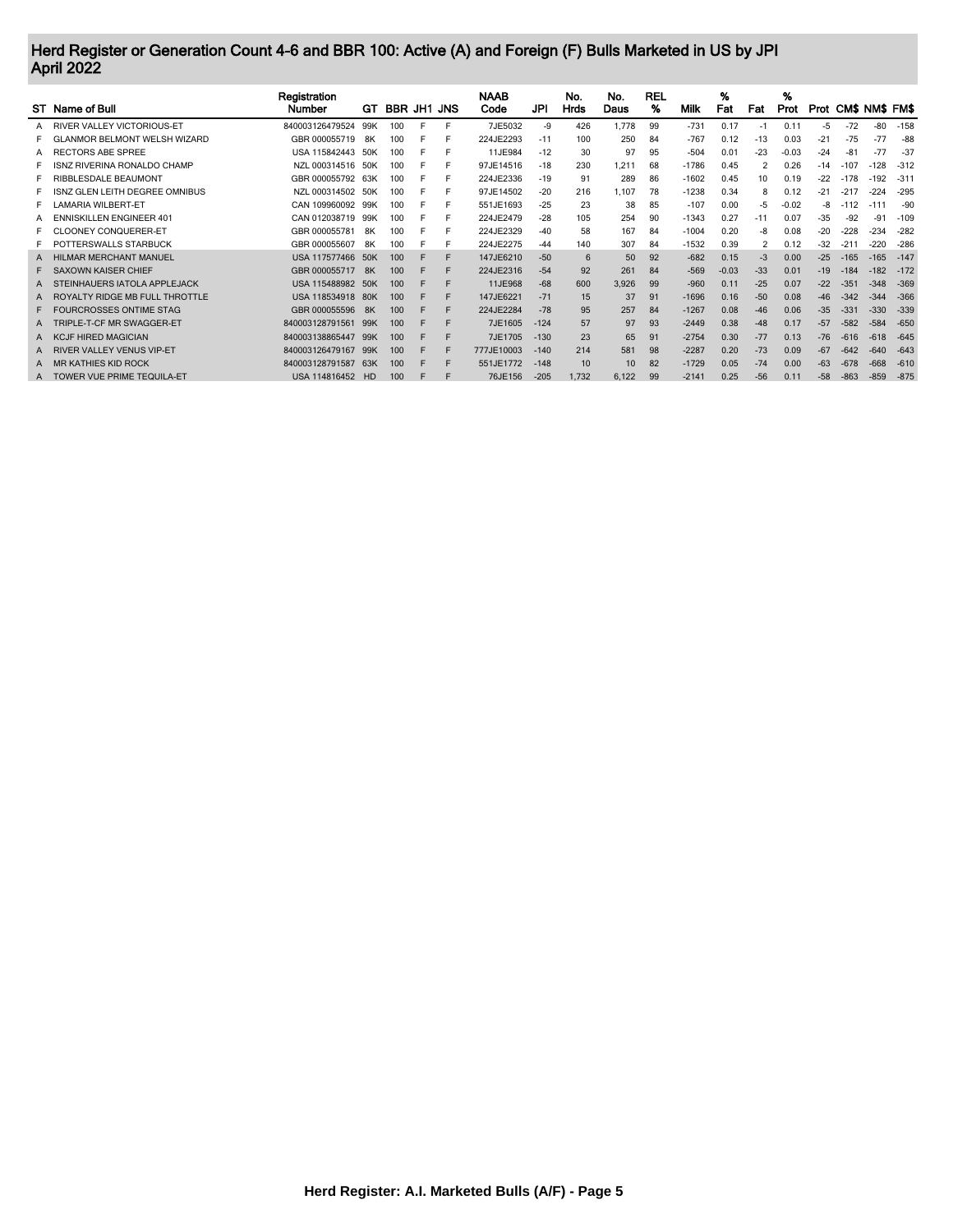## Herd Register or Generation Count 4-6 and BBR 100: Active (A) and Foreign (F) Bulls Marketed in US by JPI April 2022

| ST Name of Bull                    | Registration<br><b>Number</b> | GT   | BBR JH1 JNS |    |   | <b>NAAB</b><br>Code | JPI    | No.<br>Hrds | No.<br>Daus | <b>REL</b><br>% | Milk    | %<br>Fat | Fat   | %<br>Prot |       | Prot CM\$ NM\$ FM\$ |        |        |
|------------------------------------|-------------------------------|------|-------------|----|---|---------------------|--------|-------------|-------------|-----------------|---------|----------|-------|-----------|-------|---------------------|--------|--------|
| A RIVER VALLEY VICTORIOUS-ET       | 840003126479524               | 99K  | 100         | F. |   | 7JE5032             | -9     | 426         | 1.778       | 99              | $-731$  | 0.17     | $-1$  | 0.11      | $-5$  | $-72$               | -80    | $-158$ |
| ANMOR BELMONT WELSH WIZARD         | GBR 000055719                 | 8K   | 100         |    |   | 224JE2293           | $-11$  | 100         | 250         | 84              | $-767$  | 0.12     | $-13$ | 0.03      | $-21$ | $-75$               | $-77$  | $-88$  |
| A RECTORS ABE SPREE                | USA 115842443 50K             |      | 100         |    |   | 11JE984             | $-12$  | 30          | 97          | 95              | $-504$  | 0.01     | $-23$ | $-0.03$   | $-24$ | $-81$               | -77    | $-37$  |
| <b>ISNZ RIVERINA RONALDO CHAMP</b> | NZL 000314516 50K             |      | 100         |    |   | 97JE14516           | $-18$  | 230         | 1.211       | 68              | $-1786$ | 0.45     |       | 0.26      | $-14$ | $-107$              | $-128$ | $-312$ |
| RIBBLESDALE BEAUMONT               | GBR 000055792 63K             |      | 100         |    |   | 224JE2336           | $-19$  | 91          | 289         | 86              | $-1602$ | 0.45     | 10    | 0.19      | $-22$ | $-178$              | $-192$ | $-31$  |
| ISNZ GLEN LEITH DEGREE OMNIBUS     | NZL 000314502 50K             |      | 100         |    |   | 97JE14502           | $-20$  | 216         | .107        | 78              | $-1238$ | 0.34     | 8     | 0.12      | $-21$ | $-217$              | $-224$ | $-295$ |
| <b>AMARIA WILBERT-ET</b>           | CAN 109960092 99K             |      | 100         |    |   | 551JE1693           | $-25$  | 23          | 38          | 85              | $-107$  | 0.00     | -5    | $-0.02$   | -8    | $-112$              | -1     | -90    |
| A ENNISKILLEN ENGINEER 401         | CAN 012038719 99K             |      | 100         |    |   | 224JE2479           | $-28$  | 105         | 254         | 90              | $-1343$ | 0.27     | -11   | 0.07      | $-35$ | $-92$               | $-91$  | $-109$ |
| <b>CLOONEY CONQUERER-ET</b>        | GBR 000055781                 | 8K   |             |    |   | 224JE2329           | $-40$  | 58          | 167         | 84              | $-1004$ | 0.20     | -8    | 0.08      | $-20$ | $-228$              | $-234$ | $-282$ |
| POTTERSWALLS STARBUCK              | GBR 000055607                 | 8K   | 100         |    |   | 224JE2275           | -44    | 140         | 307         | 84              | $-1532$ | 0.39     |       | 0.12      | $-32$ | $-211$              | $-220$ | $-286$ |
| A HILMAR MERCHANT MANUEL           | USA 117577466 50K             |      | 100         |    |   | 147JE6210           | $-50$  | 6           | 50          | 92              | $-682$  | 0.15     | $-3$  | 0.00      | $-25$ | $-165$              | $-165$ | $-147$ |
| F SAXOWN KAISER CHIEF              | GBR 000055717                 | - 8K | 100         |    |   | 224JE2316           | $-54$  | 92          | 261         | 84              | $-569$  | $-0.03$  | $-33$ | 0.01      | $-19$ | $-184$              | $-182$ | $-172$ |
| TEINHAUERS IATOLA APPLEJACK        | USA 115488982                 | 50K  | 100         |    | F | 11JE968             | $-68$  | 600         | 3,926       | 99              | $-960$  | 0.11     | $-25$ | 0.07      | $-22$ | $-351$              | $-348$ | $-369$ |
| A ROYALTY RIDGE MB FULL THROTTLE   | USA 118534918 80K             |      | 100         |    |   | 147JE6221           | $-71$  | 15          | 37          | 91              | $-1696$ | 0.16     | $-50$ | 0.08      | $-46$ | $-342$              | $-344$ | $-366$ |
| F FOURCROSSES ONTIME STAG          | GBR 000055596                 | 8K   | 100         |    |   | 224JE2284           | $-78$  | 95          | 257         | 84              | $-1267$ | 0.08     | $-46$ | 0.06      | $-35$ | $-331$              | $-330$ | $-339$ |
| A TRIPLE-T-CF MR SWAGGER-ET        | 840003128791561               | 99K  | 100         |    | F | 7JE1605             | $-124$ | 57          | 97          | 93              | $-2449$ | 0.38     | $-48$ | 0.17      | $-57$ | $-582$              | $-584$ | $-650$ |
| <b>CJF HIRED MAGICIAN</b>          | 840003138865447               | 99K  | 100         |    |   | 7JE1705             | $-130$ | 23          | 65          | 91              | $-2754$ | 0.30     | $-77$ | 0.13      | $-76$ | $-616$              | $-618$ | $-645$ |
| A RIVER VALLEY VENUS VIP-ET        | 840003126479167               | 99K  | 100         |    |   | 777JE10003          | $-140$ | 214         | 581         | 98              | $-2287$ | 0.20     | $-73$ | 0.09      | $-67$ | $-642$              | $-640$ | $-643$ |
| A MR KATHIES KID ROCK              | 840003128791587               | 63K  | 100         |    |   | 551JE1772           | $-148$ | 10          | 10          | 82              | $-1729$ | 0.05     | $-74$ | 0.00      | $-63$ | $-678$              | $-668$ | $-610$ |
| A TOWER VUE PRIME TEQUILA-ET       | USA 114816452 HD              |      | 100         |    |   | 76JE156             | $-205$ | 1,732       | 6,122       | 99              | $-2141$ | 0.25     | $-56$ | 0.11      | $-58$ | $-863$              | $-859$ | $-875$ |